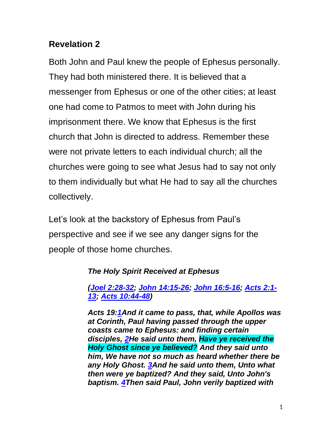# **Revelation 2**

Both John and Paul knew the people of Ephesus personally. They had both ministered there. It is believed that a messenger from Ephesus or one of the other cities; at least one had come to Patmos to meet with John during his imprisonment there. We know that Ephesus is the first church that John is directed to address. Remember these were not private letters to each individual church; all the churches were going to see what Jesus had to say not only to them individually but what He had to say all the churches collectively.

Let's look at the backstory of Ephesus from Paul's perspective and see if we see any danger signs for the people of those home churches.

## *The Holy Spirit Received at Ephesus*

### *[\(Joel 2:28-32;](http://biblehub.com/kjv/joel/2.htm#28) [John 14:15-26;](http://biblehub.com/kjv/john/14.htm#15) [John 16:5-16;](http://biblehub.com/kjv/john/16.htm#5) [Acts 2:1-](http://biblehub.com/kjv/acts/2.htm) [13;](http://biblehub.com/kjv/acts/2.htm) [Acts 10:44-48\)](http://biblehub.com/kjv/acts/10.htm#44)*

*Acts 19[:1A](http://biblehub.com/acts/19-1.htm)nd it came to pass, that, while Apollos was at Corinth, Paul having passed through the upper coasts came to Ephesus: and finding certain disciples, [2H](http://biblehub.com/acts/19-2.htm)e said unto them, Have ye received the Holy Ghost since ye believed? And they said unto him, We have not so much as heard whether there be any Holy Ghost. [3A](http://biblehub.com/acts/19-3.htm)nd he said unto them, Unto what then were ye baptized? And they said, Unto John's baptism. [4T](http://biblehub.com/acts/19-4.htm)hen said Paul, John verily baptized with*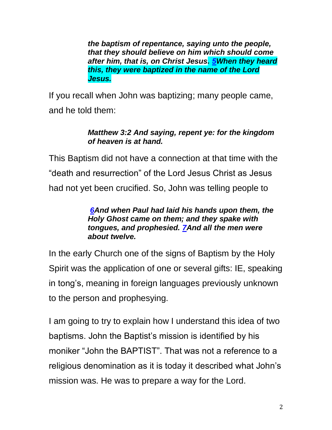*the baptism of repentance, saying unto the people, that they should believe on him which should come after him, that is, on Christ Jesus. [5W](http://biblehub.com/acts/19-5.htm)hen they heard this, they were baptized in the name of the Lord Jesus.*

If you recall when John was baptizing; many people came, and he told them:

### *Matthew 3:2 And saying, repent ye: for the kingdom of heaven is at hand.*

This Baptism did not have a connection at that time with the "death and resurrection" of the Lord Jesus Christ as Jesus had not yet been crucified. So, John was telling people to

### *[6A](http://biblehub.com/acts/19-6.htm)nd when Paul had laid his hands upon them, the Holy Ghost came on them; and they spake with tongues, and prophesied. [7A](http://biblehub.com/acts/19-7.htm)nd all the men were about twelve.*

In the early Church one of the signs of Baptism by the Holy Spirit was the application of one or several gifts: IE, speaking in tong's, meaning in foreign languages previously unknown to the person and prophesying.

I am going to try to explain how I understand this idea of two baptisms. John the Baptist's mission is identified by his moniker "John the BAPTIST". That was not a reference to a religious denomination as it is today it described what John's mission was. He was to prepare a way for the Lord.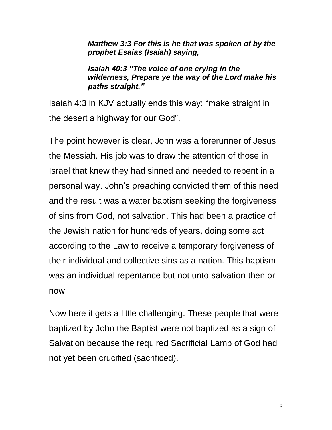*Matthew 3:3 For this is he that was spoken of by the prophet Esaias (Isaiah) saying,*

*Isaiah 40:3 "The voice of one crying in the wilderness, Prepare ye the way of the Lord make his paths straight."*

Isaiah 4:3 in KJV actually ends this way: "make straight in the desert a highway for our God".

The point however is clear, John was a forerunner of Jesus the Messiah. His job was to draw the attention of those in Israel that knew they had sinned and needed to repent in a personal way. John's preaching convicted them of this need and the result was a water baptism seeking the forgiveness of sins from God, not salvation. This had been a practice of the Jewish nation for hundreds of years, doing some act according to the Law to receive a temporary forgiveness of their individual and collective sins as a nation. This baptism was an individual repentance but not unto salvation then or now.

Now here it gets a little challenging. These people that were baptized by John the Baptist were not baptized as a sign of Salvation because the required Sacrificial Lamb of God had not yet been crucified (sacrificed).

3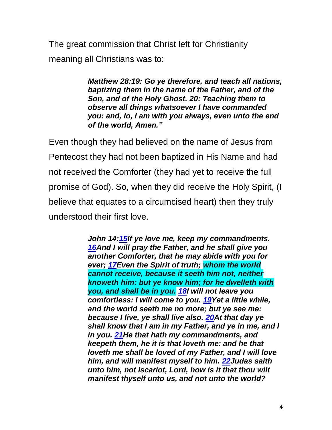The great commission that Christ left for Christianity meaning all Christians was to:

> *Matthew 28:19: Go ye therefore, and teach all nations, baptizing them in the name of the Father, and of the Son, and of the Holy Ghost. 20: Teaching them to observe all things whatsoever I have commanded you: and, lo, I am with you always, even unto the end of the world, Amen."*

Even though they had believed on the name of Jesus from Pentecost they had not been baptized in His Name and had not received the Comforter (they had yet to receive the full promise of God). So, when they did receive the Holy Spirit, (I believe that equates to a circumcised heart) then they truly understood their first love.

> *John 14[:15I](http://biblehub.com/john/14-15.htm)f ye love me, keep my commandments. [16A](http://biblehub.com/john/14-16.htm)nd I will pray the Father, and he shall give you another Comforter, that he may abide with you for ever; [17E](http://biblehub.com/john/14-17.htm)ven the Spirit of truth; whom the world cannot receive, because it seeth him not, neither knoweth him: but ye know him; for he dwelleth with you, and shall be in you. [18I](http://biblehub.com/john/14-18.htm) will not leave you comfortless: I will come to you. [19Y](http://biblehub.com/john/14-19.htm)et a little while, and the world seeth me no more; but ye see me: because I live, ye shall live also. [20A](http://biblehub.com/john/14-20.htm)t that day ye shall know that I am in my Father, and ye in me, and I in you. [21H](http://biblehub.com/john/14-21.htm)e that hath my commandments, and keepeth them, he it is that loveth me: and he that loveth me shall be loved of my Father, and I will love him, and will manifest myself to him. [22J](http://biblehub.com/john/14-22.htm)udas saith unto him, not Iscariot, Lord, how is it that thou wilt manifest thyself unto us, and not unto the world?*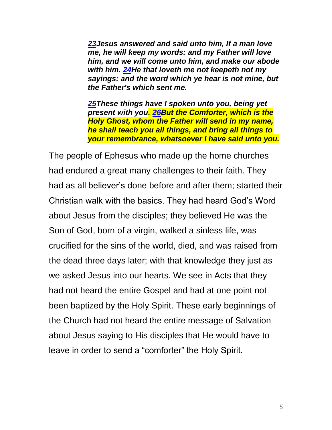*[23J](http://biblehub.com/john/14-23.htm)esus answered and said unto him, If a man love me, he will keep my words: and my Father will love him, and we will come unto him, and make our abode with him. [24H](http://biblehub.com/john/14-24.htm)e that loveth me not keepeth not my sayings: and the word which ye hear is not mine, but the Father's which sent me.*

*[25T](http://biblehub.com/john/14-25.htm)hese things have I spoken unto you, being yet present with you. [26B](http://biblehub.com/john/14-26.htm)ut the Comforter, which is the Holy Ghost, whom the Father will send in my name, he shall teach you all things, and bring all things to your remembrance, whatsoever I have said unto you.*

The people of Ephesus who made up the home churches had endured a great many challenges to their faith. They had as all believer's done before and after them; started their Christian walk with the basics. They had heard God's Word about Jesus from the disciples; they believed He was the Son of God, born of a virgin, walked a sinless life, was crucified for the sins of the world, died, and was raised from the dead three days later; with that knowledge they just as we asked Jesus into our hearts. We see in Acts that they had not heard the entire Gospel and had at one point not been baptized by the Holy Spirit. These early beginnings of the Church had not heard the entire message of Salvation about Jesus saying to His disciples that He would have to leave in order to send a "comforter" the Holy Spirit.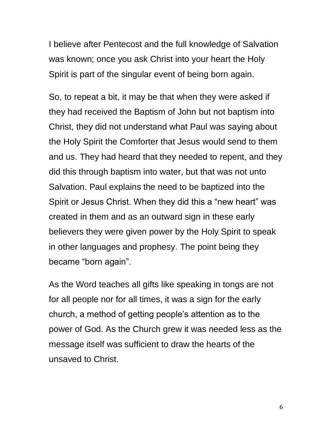I believe after Pentecost and the full knowledge of Salvation was known; once you ask Christ into your heart the Holy Spirit is part of the singular event of being born again.

So, to repeat a bit, it may be that when they were asked if they had received the Baptism of John but not baptism into Christ, they did not understand what Paul was saying about the Holy Spirit the Comforter that Jesus would send to them and us. They had heard that they needed to repent, and they did this through baptism into water, but that was not unto Salvation. Paul explains the need to be baptized into the Spirit or Jesus Christ. When they did this a "new heart" was created in them and as an outward sign in these early believers they were given power by the Holy Spirit to speak in other languages and prophesy. The point being they became "born again".

As the Word teaches all gifts like speaking in tongs are not for all people nor for all times, it was a sign for the early church, a method of getting people's attention as to the power of God. As the Church grew it was needed less as the message itself was sufficient to draw the hearts of the unsaved to Christ.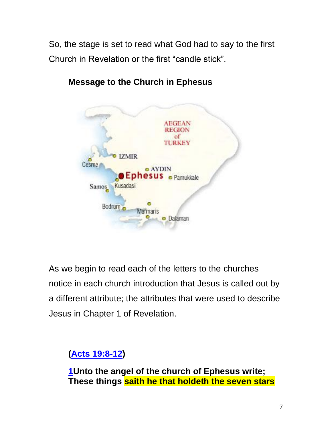So, the stage is set to read what God had to say to the first Church in Revelation or the first "candle stick".



**Message to the Church in Ephesus**

As we begin to read each of the letters to the churches notice in each church introduction that Jesus is called out by a different attribute; the attributes that were used to describe Jesus in Chapter 1 of Revelation.

# **[\(Acts 19:8-12\)](http://biblehub.com/kjv/acts/19.htm#8)**

**[1U](http://biblehub.com/revelation/2-1.htm)nto the angel of the church of Ephesus write; These things saith he that holdeth the seven stars**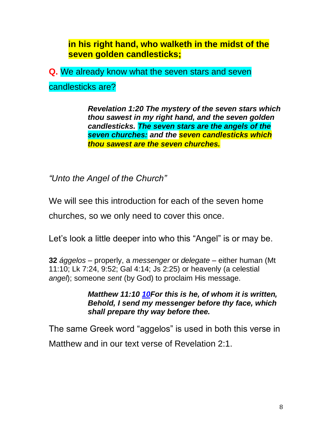**in his right hand, who walketh in the midst of the seven golden candlesticks;**

**Q.** We already know what the seven stars and seven

candlesticks are?

*Revelation 1:20 The mystery of the seven stars which thou sawest in my right hand, and the seven golden candlesticks. The seven stars are the angels of the seven churches: and the seven candlesticks which thou sawest are the seven churches.*

*"Unto the Angel of the Church"*

We will see this introduction for each of the seven home churches, so we only need to cover this once.

Let's look a little deeper into who this "Angel" is or may be.

**32** *ággelos* – properly, a *messenger* or *delegate* – either human (Mt 11:10; Lk 7:24, 9:52; Gal 4:14; Js 2:25) or heavenly (a celestial *angel*); someone *sent* (by God) to proclaim His message.

> *Matthew 11:10 [10F](http://biblehub.com/matthew/11-10.htm)or this is he, of whom it is written, Behold, I send my messenger before thy face, which shall prepare thy way before thee.*

The same Greek word "aggelos" is used in both this verse in Matthew and in our text verse of Revelation 2:1.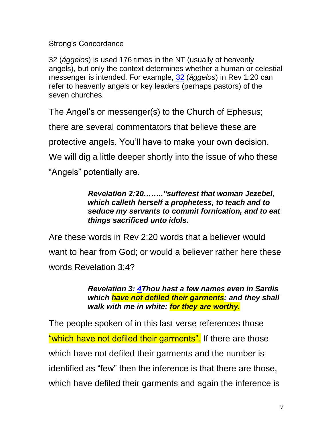Strong's Concordance

32 (*ággelos*) is used 176 times in the NT (usually of heavenly angels), but only the context determines whether a human or celestial messenger is intended. For example, [32](http://biblehub.com/greek/32.htm) (*ággelos*) in Rev 1:20 can refer to heavenly angels or key leaders (perhaps pastors) of the seven churches.

The Angel's or messenger(s) to the Church of Ephesus;

there are several commentators that believe these are

protective angels. You'll have to make your own decision.

We will dig a little deeper shortly into the issue of who these

"Angels" potentially are.

### *Revelation 2:20…….."sufferest that woman Jezebel, which calleth herself a prophetess, to teach and to seduce my servants to commit fornication, and to eat things sacrificed unto idols.*

Are these words in Rev 2:20 words that a believer would want to hear from God; or would a believer rather here these words Revelation 3:4?

> *Revelation 3: [4T](http://biblehub.com/revelation/3-4.htm)hou hast a few names even in Sardis which have not defiled their garments; and they shall walk with me in white: for they are worthy.*

The people spoken of in this last verse references those "which have not defiled their garments". If there are those which have not defiled their garments and the number is identified as "few" then the inference is that there are those, which have defiled their garments and again the inference is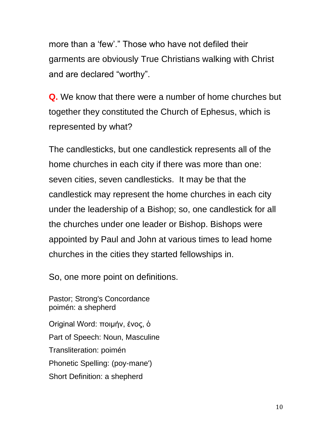more than a 'few'." Those who have not defiled their garments are obviously True Christians walking with Christ and are declared "worthy".

**Q.** We know that there were a number of home churches but together they constituted the Church of Ephesus, which is represented by what?

The candlesticks, but one candlestick represents all of the home churches in each city if there was more than one: seven cities, seven candlesticks. It may be that the candlestick may represent the home churches in each city under the leadership of a Bishop; so, one candlestick for all the churches under one leader or Bishop. Bishops were appointed by Paul and John at various times to lead home churches in the cities they started fellowships in.

So, one more point on definitions.

Pastor; Strong's Concordance poimén: a shepherd Original Word: ποιμήν, ένος, ὁ Part of Speech: Noun, Masculine Transliteration: poimén Phonetic Spelling: (poy-mane') Short Definition: a shepherd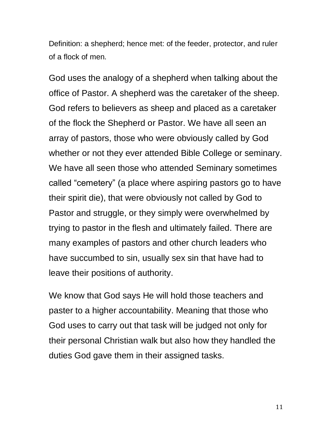Definition: a shepherd; hence met: of the feeder, protector, and ruler of a flock of men.

God uses the analogy of a shepherd when talking about the office of Pastor. A shepherd was the caretaker of the sheep. God refers to believers as sheep and placed as a caretaker of the flock the Shepherd or Pastor. We have all seen an array of pastors, those who were obviously called by God whether or not they ever attended Bible College or seminary. We have all seen those who attended Seminary sometimes called "cemetery" (a place where aspiring pastors go to have their spirit die), that were obviously not called by God to Pastor and struggle, or they simply were overwhelmed by trying to pastor in the flesh and ultimately failed. There are many examples of pastors and other church leaders who have succumbed to sin, usually sex sin that have had to leave their positions of authority.

We know that God says He will hold those teachers and paster to a higher accountability. Meaning that those who God uses to carry out that task will be judged not only for their personal Christian walk but also how they handled the duties God gave them in their assigned tasks.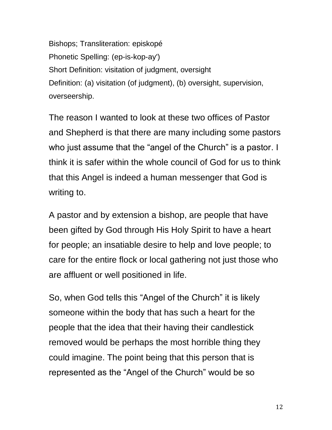Bishops; Transliteration: episkopé Phonetic Spelling: (ep-is-kop-ay') Short Definition: visitation of judgment, oversight Definition: (a) visitation (of judgment), (b) oversight, supervision, overseership.

The reason I wanted to look at these two offices of Pastor and Shepherd is that there are many including some pastors who just assume that the "angel of the Church" is a pastor. I think it is safer within the whole council of God for us to think that this Angel is indeed a human messenger that God is writing to.

A pastor and by extension a bishop, are people that have been gifted by God through His Holy Spirit to have a heart for people; an insatiable desire to help and love people; to care for the entire flock or local gathering not just those who are affluent or well positioned in life.

So, when God tells this "Angel of the Church" it is likely someone within the body that has such a heart for the people that the idea that their having their candlestick removed would be perhaps the most horrible thing they could imagine. The point being that this person that is represented as the "Angel of the Church" would be so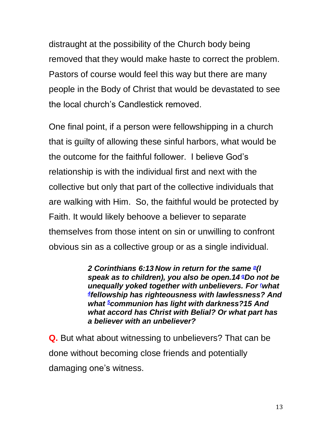distraught at the possibility of the Church body being removed that they would make haste to correct the problem. Pastors of course would feel this way but there are many people in the Body of Christ that would be devastated to see the local church's Candlestick removed.

One final point, if a person were fellowshipping in a church that is guilty of allowing these sinful harbors, what would be the outcome for the faithful follower. I believe God's relationship is with the individual first and next with the collective but only that part of the collective individuals that are walking with Him. So, the faithful would be protected by Faith. It would likely behoove a believer to separate themselves from those intent on sin or unwilling to confront obvious sin as a collective group or as a single individual.

> *2 Corinthians 6:13 Now in return for the same [p](https://biblia.com/bible/nkjv/2%20Cor%206.13-15#footnote1) (I speak as to children), you also be open.14 aDo not be unequallyyoked together with unbelievers. For <i>v what [4](https://biblia.com/bible/nkjv/2%20Cor%206.13-15#footnote4) fellowship has righteousness with lawlessness? And what [5](https://biblia.com/bible/nkjv/2%20Cor%206.13-15#footnote5)communion has light with darkness?15 And what accord has Christ with Belial? Or what part has a believer with an unbeliever?*

**Q.** But what about witnessing to unbelievers? That can be done without becoming close friends and potentially damaging one's witness.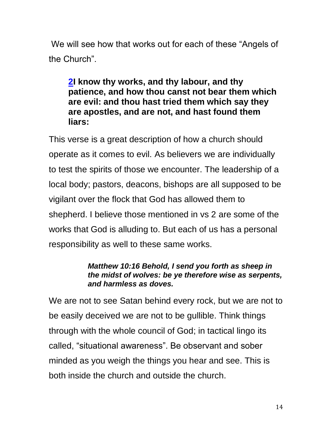We will see how that works out for each of these "Angels of the Church".

**[2I](http://biblehub.com/revelation/2-2.htm) know thy works, and thy labour, and thy patience, and how thou canst not bear them which are evil: and thou hast tried them which say they are apostles, and are not, and hast found them liars:**

This verse is a great description of how a church should operate as it comes to evil. As believers we are individually to test the spirits of those we encounter. The leadership of a local body; pastors, deacons, bishops are all supposed to be vigilant over the flock that God has allowed them to shepherd. I believe those mentioned in vs 2 are some of the works that God is alluding to. But each of us has a personal responsibility as well to these same works.

### *Matthew 10:16 Behold, I send you forth as sheep in the midst of wolves: be ye therefore wise as serpents, and harmless as doves.*

We are not to see Satan behind every rock, but we are not to be easily deceived we are not to be gullible. Think things through with the whole council of God; in tactical lingo its called, "situational awareness". Be observant and sober minded as you weigh the things you hear and see. This is both inside the church and outside the church.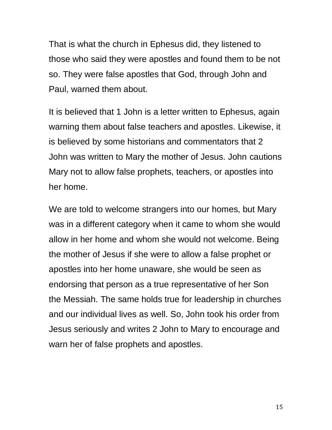That is what the church in Ephesus did, they listened to those who said they were apostles and found them to be not so. They were false apostles that God, through John and Paul, warned them about.

It is believed that 1 John is a letter written to Ephesus, again warning them about false teachers and apostles. Likewise, it is believed by some historians and commentators that 2 John was written to Mary the mother of Jesus. John cautions Mary not to allow false prophets, teachers, or apostles into her home.

We are told to welcome strangers into our homes, but Mary was in a different category when it came to whom she would allow in her home and whom she would not welcome. Being the mother of Jesus if she were to allow a false prophet or apostles into her home unaware, she would be seen as endorsing that person as a true representative of her Son the Messiah. The same holds true for leadership in churches and our individual lives as well. So, John took his order from Jesus seriously and writes 2 John to Mary to encourage and warn her of false prophets and apostles.

15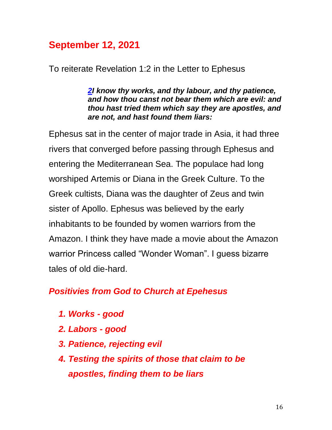# **September 12, 2021**

To reiterate Revelation 1:2 in the Letter to Ephesus

*[2I](http://biblehub.com/revelation/2-2.htm) know thy works, and thy labour, and thy patience, and how thou canst not bear them which are evil: and thou hast tried them which say they are apostles, and are not, and hast found them liars:*

Ephesus sat in the center of major trade in Asia, it had three rivers that converged before passing through Ephesus and entering the Mediterranean Sea. The populace had long worshiped Artemis or Diana in the Greek Culture. To the Greek cultists, Diana was the daughter of Zeus and twin sister of Apollo. Ephesus was believed by the early inhabitants to be founded by women warriors from the Amazon. I think they have made a movie about the Amazon warrior Princess called "Wonder Woman". I guess bizarre tales of old die-hard.

# *Positivies from God to Church at Epehesus*

- *1. Works - good*
- *2. Labors - good*
- *3. Patience, rejecting evil*
- *4. Testing the spirits of those that claim to be apostles, finding them to be liars*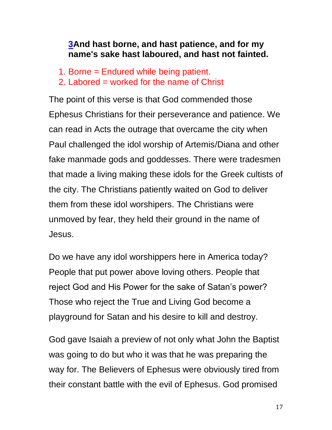# **[3A](http://biblehub.com/revelation/2-3.htm)nd hast borne, and hast patience, and for my name's sake hast laboured, and hast not fainted.**

- 1. Borne = Endured while being patient.
- 2. Labored = worked for the name of Christ

The point of this verse is that God commended those Ephesus Christians for their perseverance and patience. We can read in Acts the outrage that overcame the city when Paul challenged the idol worship of Artemis/Diana and other fake manmade gods and goddesses. There were tradesmen that made a living making these idols for the Greek cultists of the city. The Christians patiently waited on God to deliver them from these idol worshipers. The Christians were unmoved by fear, they held their ground in the name of Jesus.

Do we have any idol worshippers here in America today? People that put power above loving others. People that reject God and His Power for the sake of Satan's power? Those who reject the True and Living God become a playground for Satan and his desire to kill and destroy.

God gave Isaiah a preview of not only what John the Baptist was going to do but who it was that he was preparing the way for. The Believers of Ephesus were obviously tired from their constant battle with the evil of Ephesus. God promised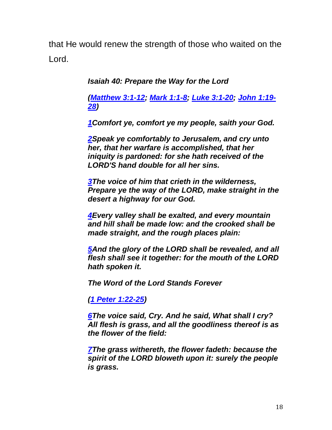that He would renew the strength of those who waited on the Lord.

*Isaiah 40: Prepare the Way for the Lord*

*[\(Matthew 3:1-12;](https://biblehub.com/kjv/matthew/3.htm) [Mark 1:1-8;](https://biblehub.com/kjv/mark/1.htm) [Luke 3:1-20;](https://biblehub.com/kjv/luke/3.htm) [John 1:19-](https://biblehub.com/kjv/john/1.htm#19) [28\)](https://biblehub.com/kjv/john/1.htm#19)*

*[1C](https://biblehub.com/isaiah/40-1.htm)omfort ye, comfort ye my people, saith your God.*

*[2S](https://biblehub.com/isaiah/40-2.htm)peak ye comfortably to Jerusalem, and cry unto her, that her warfare is accomplished, that her iniquity is pardoned: for she hath received of the LORD'S hand double for all her sins.*

*[3T](https://biblehub.com/isaiah/40-3.htm)he voice of him that crieth in the wilderness, Prepare ye the way of the LORD, make straight in the desert a highway for our God.*

*[4E](https://biblehub.com/isaiah/40-4.htm)very valley shall be exalted, and every mountain and hill shall be made low: and the crooked shall be made straight, and the rough places plain:*

*[5A](https://biblehub.com/isaiah/40-5.htm)nd the glory of the LORD shall be revealed, and all flesh shall see it together: for the mouth of the LORD hath spoken it.*

*The Word of the Lord Stands Forever*

*[\(1 Peter 1:22-25\)](https://biblehub.com/kjv/1_peter/1.htm#22)*

*[6T](https://biblehub.com/isaiah/40-6.htm)he voice said, Cry. And he said, What shall I cry? All flesh is grass, and all the goodliness thereof is as the flower of the field:*

*[7T](https://biblehub.com/isaiah/40-7.htm)he grass withereth, the flower fadeth: because the spirit of the LORD bloweth upon it: surely the people is grass.*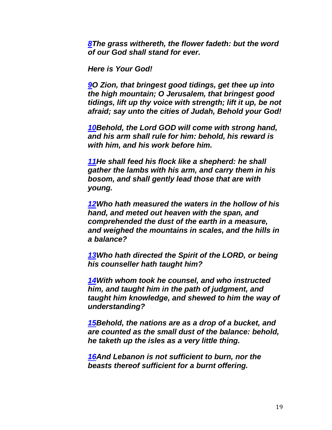*[8T](https://biblehub.com/isaiah/40-8.htm)he grass withereth, the flower fadeth: but the word of our God shall stand for ever.*

*Here is Your God!*

*[9O](https://biblehub.com/isaiah/40-9.htm) Zion, that bringest good tidings, get thee up into the high mountain; O Jerusalem, that bringest good tidings, lift up thy voice with strength; lift it up, be not afraid; say unto the cities of Judah, Behold your God!*

*[10B](https://biblehub.com/isaiah/40-10.htm)ehold, the Lord GOD will come with strong hand, and his arm shall rule for him: behold, his reward is with him, and his work before him.*

*[11H](https://biblehub.com/isaiah/40-11.htm)e shall feed his flock like a shepherd: he shall gather the lambs with his arm, and carry them in his bosom, and shall gently lead those that are with young.*

*[12W](https://biblehub.com/isaiah/40-12.htm)ho hath measured the waters in the hollow of his hand, and meted out heaven with the span, and comprehended the dust of the earth in a measure, and weighed the mountains in scales, and the hills in a balance?*

*[13W](https://biblehub.com/isaiah/40-13.htm)ho hath directed the Spirit of the LORD, or being his counseller hath taught him?*

*[14W](https://biblehub.com/isaiah/40-14.htm)ith whom took he counsel, and who instructed him, and taught him in the path of judgment, and taught him knowledge, and shewed to him the way of understanding?*

*[15B](https://biblehub.com/isaiah/40-15.htm)ehold, the nations are as a drop of a bucket, and are counted as the small dust of the balance: behold, he taketh up the isles as a very little thing.*

*[16A](https://biblehub.com/isaiah/40-16.htm)nd Lebanon is not sufficient to burn, nor the beasts thereof sufficient for a burnt offering.*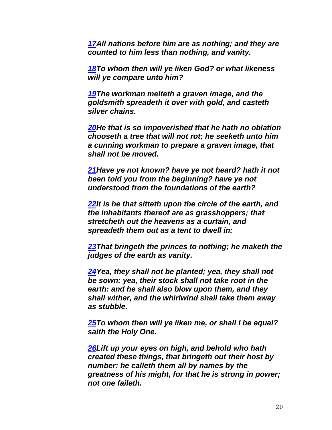*[17A](https://biblehub.com/isaiah/40-17.htm)ll nations before him are as nothing; and they are counted to him less than nothing, and vanity.*

*[18T](https://biblehub.com/isaiah/40-18.htm)o whom then will ye liken God? or what likeness will ye compare unto him?*

*[19T](https://biblehub.com/isaiah/40-19.htm)he workman melteth a graven image, and the goldsmith spreadeth it over with gold, and casteth silver chains.*

*[20H](https://biblehub.com/isaiah/40-20.htm)e that is so impoverished that he hath no oblation chooseth a tree that will not rot; he seeketh unto him a cunning workman to prepare a graven image, that shall not be moved.*

*[21H](https://biblehub.com/isaiah/40-21.htm)ave ye not known? have ye not heard? hath it not been told you from the beginning? have ye not understood from the foundations of the earth?*

*[22I](https://biblehub.com/isaiah/40-22.htm)t is he that sitteth upon the circle of the earth, and the inhabitants thereof are as grasshoppers; that stretcheth out the heavens as a curtain, and spreadeth them out as a tent to dwell in:*

*[23T](https://biblehub.com/isaiah/40-23.htm)hat bringeth the princes to nothing; he maketh the judges of the earth as vanity.*

*[24Y](https://biblehub.com/isaiah/40-24.htm)ea, they shall not be planted; yea, they shall not be sown: yea, their stock shall not take root in the earth: and he shall also blow upon them, and they shall wither, and the whirlwind shall take them away as stubble.*

*[25T](https://biblehub.com/isaiah/40-25.htm)o whom then will ye liken me, or shall I be equal? saith the Holy One.*

*[26L](https://biblehub.com/isaiah/40-26.htm)ift up your eyes on high, and behold who hath created these things, that bringeth out their host by number: he calleth them all by names by the greatness of his might, for that he is strong in power; not one faileth.*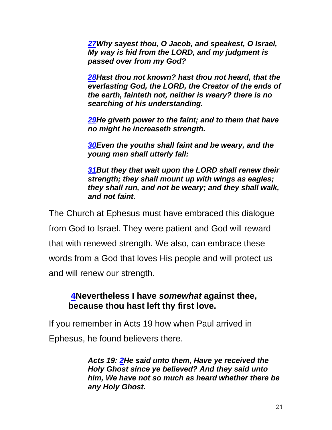*[27W](https://biblehub.com/isaiah/40-27.htm)hy sayest thou, O Jacob, and speakest, O Israel, My way is hid from the LORD, and my judgment is passed over from my God?*

*[28H](https://biblehub.com/isaiah/40-28.htm)ast thou not known? hast thou not heard, that the everlasting God, the LORD, the Creator of the ends of the earth, fainteth not, neither is weary? there is no searching of his understanding.*

*[29H](https://biblehub.com/isaiah/40-29.htm)e giveth power to the faint; and to them that have no might he increaseth strength.*

*[30E](https://biblehub.com/isaiah/40-30.htm)ven the youths shall faint and be weary, and the young men shall utterly fall:*

*[31B](https://biblehub.com/isaiah/40-31.htm)ut they that wait upon the LORD shall renew their strength; they shall mount up with wings as eagles; they shall run, and not be weary; and they shall walk, and not faint.*

The Church at Ephesus must have embraced this dialogue from God to Israel. They were patient and God will reward that with renewed strength. We also, can embrace these words from a God that loves His people and will protect us and will renew our strength.

## **[4N](http://biblehub.com/revelation/2-4.htm)evertheless I have** *somewhat* **against thee, because thou hast left thy first love.**

If you remember in Acts 19 how when Paul arrived in Ephesus, he found believers there.

> *Acts 19: [2H](http://biblehub.com/acts/19-2.htm)e said unto them, Have ye received the Holy Ghost since ye believed? And they said unto him, We have not so much as heard whether there be any Holy Ghost.*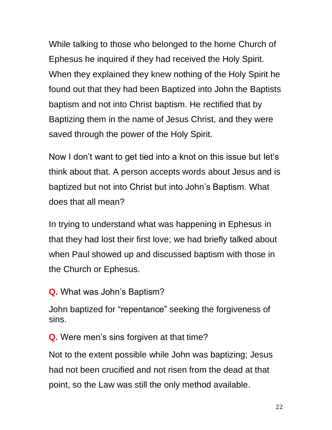While talking to those who belonged to the home Church of Ephesus he inquired if they had received the Holy Spirit. When they explained they knew nothing of the Holy Spirit he found out that they had been Baptized into John the Baptists baptism and not into Christ baptism. He rectified that by Baptizing them in the name of Jesus Christ, and they were saved through the power of the Holy Spirit.

Now I don't want to get tied into a knot on this issue but let's think about that. A person accepts words about Jesus and is baptized but not into Christ but into John's Baptism. What does that all mean?

In trying to understand what was happening in Ephesus in that they had lost their first love; we had briefly talked about when Paul showed up and discussed baptism with those in the Church or Ephesus.

**Q.** What was John's Baptism?

John baptized for "repentance" seeking the forgiveness of sins.

**Q.** Were men's sins forgiven at that time?

Not to the extent possible while John was baptizing; Jesus had not been crucified and not risen from the dead at that point, so the Law was still the only method available.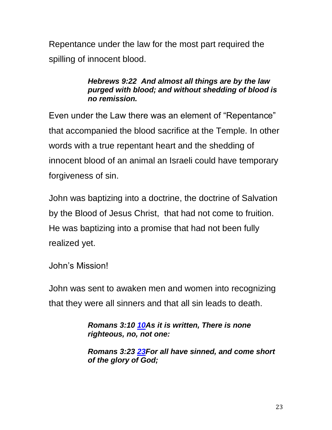Repentance under the law for the most part required the spilling of innocent blood.

### *Hebrews 9:22 And almost all things are by the law purged with blood; and without shedding of blood is no remission.*

Even under the Law there was an element of "Repentance" that accompanied the blood sacrifice at the Temple. In other words with a true repentant heart and the shedding of innocent blood of an animal an Israeli could have temporary forgiveness of sin.

John was baptizing into a doctrine, the doctrine of Salvation by the Blood of Jesus Christ, that had not come to fruition. He was baptizing into a promise that had not been fully realized yet.

John's Mission!

John was sent to awaken men and women into recognizing that they were all sinners and that all sin leads to death.

> *Romans 3:10 [10A](https://biblehub.com/romans/3-10.htm)s it is written, There is none righteous, no, not one:*

*Romans 3:23 [23F](https://biblehub.com/romans/3-23.htm)or all have sinned, and come short of the glory of God;*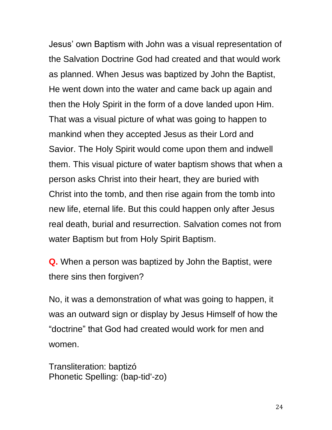Jesus' own Baptism with John was a visual representation of the Salvation Doctrine God had created and that would work as planned. When Jesus was baptized by John the Baptist, He went down into the water and came back up again and then the Holy Spirit in the form of a dove landed upon Him. That was a visual picture of what was going to happen to mankind when they accepted Jesus as their Lord and Savior. The Holy Spirit would come upon them and indwell them. This visual picture of water baptism shows that when a person asks Christ into their heart, they are buried with Christ into the tomb, and then rise again from the tomb into new life, eternal life. But this could happen only after Jesus real death, burial and resurrection. Salvation comes not from water Baptism but from Holy Spirit Baptism.

**Q.** When a person was baptized by John the Baptist, were there sins then forgiven?

No, it was a demonstration of what was going to happen, it was an outward sign or display by Jesus Himself of how the "doctrine" that God had created would work for men and women.

Transliteration: baptizó Phonetic Spelling: (bap-tid'-zo)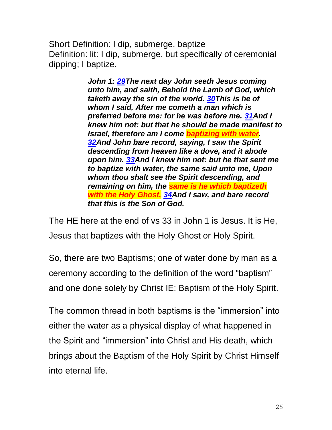Short Definition: I dip, submerge, baptize Definition: lit: I dip, submerge, but specifically of ceremonial dipping; I baptize.

> *John 1: [29T](http://biblehub.com/john/1-29.htm)he next day John seeth Jesus coming unto him, and saith, Behold the Lamb of God, which taketh away the sin of the world. [30T](http://biblehub.com/john/1-30.htm)his is he of whom I said, After me cometh a man which is preferred before me: for he was before me. [31A](http://biblehub.com/john/1-31.htm)nd I knew him not: but that he should be made manifest to Israel, therefore am I come baptizing with water. [32A](http://biblehub.com/john/1-32.htm)nd John bare record, saying, I saw the Spirit descending from heaven like a dove, and it abode upon him. [33A](http://biblehub.com/john/1-33.htm)nd I knew him not: but he that sent me to baptize with water, the same said unto me, Upon whom thou shalt see the Spirit descending, and remaining on him, the same is he which baptizeth with the Holy Ghost. [34A](http://biblehub.com/john/1-34.htm)nd I saw, and bare record that this is the Son of God.*

The HE here at the end of vs 33 in John 1 is Jesus. It is He, Jesus that baptizes with the Holy Ghost or Holy Spirit.

So, there are two Baptisms; one of water done by man as a ceremony according to the definition of the word "baptism" and one done solely by Christ IE: Baptism of the Holy Spirit.

The common thread in both baptisms is the "immersion" into either the water as a physical display of what happened in the Spirit and "immersion" into Christ and His death, which brings about the Baptism of the Holy Spirit by Christ Himself into eternal life.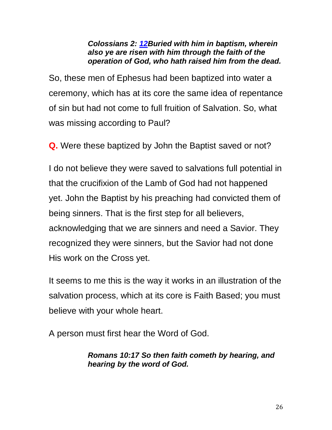### *Colossians 2: [12B](https://biblehub.com/colossians/2-12.htm)uried with him in baptism, wherein also ye are risen with him through the faith of the operation of God, who hath raised him from the dead.*

So, these men of Ephesus had been baptized into water a ceremony, which has at its core the same idea of repentance of sin but had not come to full fruition of Salvation. So, what was missing according to Paul?

**Q.** Were these baptized by John the Baptist saved or not?

I do not believe they were saved to salvations full potential in that the crucifixion of the Lamb of God had not happened yet. John the Baptist by his preaching had convicted them of being sinners. That is the first step for all believers, acknowledging that we are sinners and need a Savior. They recognized they were sinners, but the Savior had not done His work on the Cross yet.

It seems to me this is the way it works in an illustration of the salvation process, which at its core is Faith Based; you must believe with your whole heart.

A person must first hear the Word of God.

## *Romans 10:17 So then faith cometh by hearing, and hearing by the word of God.*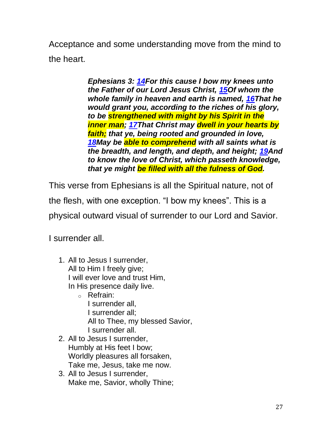Acceptance and some understanding move from the mind to the heart.

> *Ephesians 3: [14F](http://biblehub.com/ephesians/3-14.htm)or this cause I bow my knees unto the Father of our Lord Jesus Christ, [15O](http://biblehub.com/ephesians/3-15.htm)f whom the whole family in heaven and earth is named, [16T](http://biblehub.com/ephesians/3-16.htm)hat he would grant you, according to the riches of his glory, to be strengthened with might by his Spirit in the inner man; [17T](http://biblehub.com/ephesians/3-17.htm)hat Christ may dwell in your hearts by faith; that ye, being rooted and grounded in love, [18M](http://biblehub.com/ephesians/3-18.htm)ay be able to comprehend with all saints what is the breadth, and length, and depth, and height; [19A](http://biblehub.com/ephesians/3-19.htm)nd to know the love of Christ, which passeth knowledge, that ye might be filled with all the fulness of God.*

This verse from Ephesians is all the Spiritual nature, not of the flesh, with one exception. "I bow my knees". This is a physical outward visual of surrender to our Lord and Savior.

I surrender all.

- 1. All to Jesus I surrender, All to Him I freely give; I will ever love and trust Him, In His presence daily live.
	- o Refrain: I surrender all, I surrender all; All to Thee, my blessed Savior, I surrender all.
- 2. All to Jesus I surrender, Humbly at His feet I bow; Worldly pleasures all forsaken, Take me, Jesus, take me now.
- 3. All to Jesus I surrender, Make me, Savior, wholly Thine;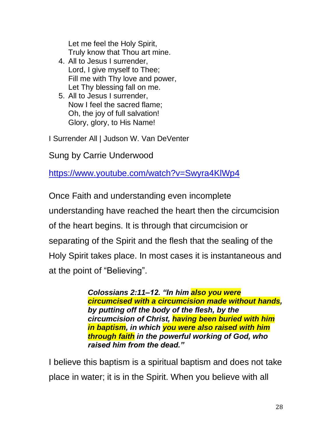Let me feel the Holy Spirit, Truly know that Thou art mine.

- 4. All to Jesus I surrender, Lord, I give myself to Thee; Fill me with Thy love and power, Let Thy blessing fall on me.
- 5. All to Jesus I surrender, Now I feel the sacred flame; Oh, the joy of full salvation! Glory, glory, to His Name!

I Surrender All | Judson W. Van DeVenter

Sung by Carrie Underwood

<https://www.youtube.com/watch?v=Swyra4KlWp4>

Once Faith and understanding even incomplete understanding have reached the heart then the circumcision of the heart begins. It is through that circumcision or separating of the Spirit and the flesh that the sealing of the Holy Spirit takes place. In most cases it is instantaneous and at the point of "Believing".

> *Colossians 2:11–12. "In him also you were circumcised with a circumcision made without hands, by putting off the body of the flesh, by the circumcision of Christ, having been buried with him in baptism, in which you were also raised with him through faith in the powerful working of God, who raised him from the dead."*

I believe this baptism is a spiritual baptism and does not take place in water; it is in the Spirit. When you believe with all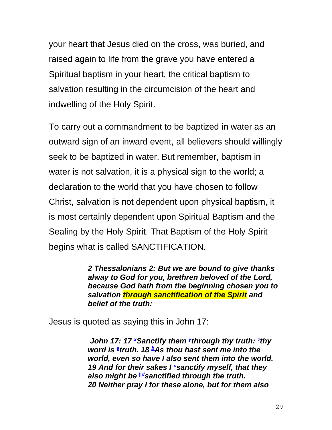your heart that Jesus died on the cross, was buried, and raised again to life from the grave you have entered a Spiritual baptism in your heart, the critical baptism to salvation resulting in the circumcision of the heart and indwelling of the Holy Spirit.

To carry out a commandment to be baptized in water as an outward sign of an inward event, all believers should willingly seek to be baptized in water. But remember, baptism in water is not salvation, it is a physical sign to the world; a declaration to the world that you have chosen to follow Christ, salvation is not dependent upon physical baptism, it is most certainly dependent upon Spiritual Baptism and the Sealing by the Holy Spirit. That Baptism of the Holy Spirit begins what is called SANCTIFICATION.

> *2 Thessalonians 2: But we are bound to give thanks alway to God for you, brethren beloved of the Lord, because God hath from the beginning chosen you to salvation through sanctification of the Spirit and belief of the truth:*

Jesus is quoted as saying this in John 17:

*John17: 17* <sup>*[x](https://biblia.com/bible/kjv1900/john/17#footnote53)*</sup> Sanctif[y](https://biblia.com/bible/kjv1900/john/17#footnote54) them *<sup><i>x*</sup>through thy truth: <sup>z</sup>thy</sub> *word is [a](https://biblia.com/bible/kjv1900/john/17#footnote56) truth. 18 [b](https://biblia.com/bible/kjv1900/john/17#footnote57)As thou hast sent me into the world, even so have I also sent them into the world. 19 And for their sakes I [c](https://biblia.com/bible/kjv1900/john/17#footnote58)sanctify myself, that they also might be [||](https://biblia.com/bible/kjv1900/john/17#footnote59)[d](https://biblia.com/bible/kjv1900/john/17#footnote60)sanctified through the truth. 20 Neither pray I for these alone, but for them also*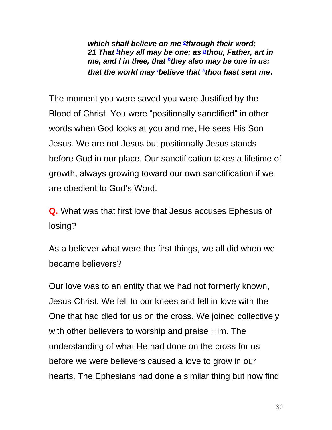*which shall believe on me [e](https://biblia.com/bible/kjv1900/john/17#footnote61) through their word; 21 That<sup>f</sup> they all may be one; as [g](https://biblia.com/bible/kjv1900/john/17#footnote63) thou, Father, art in me, and I in thee, that [h](https://biblia.com/bible/kjv1900/john/17#footnote64) they also may be one in us: that the world may<sup>i</sup>believe that [k](https://biblia.com/bible/kjv1900/john/17#footnote66) thou hast sent me.* 

The moment you were saved you were Justified by the Blood of Christ. You were "positionally sanctified" in other words when God looks at you and me, He sees His Son Jesus. We are not Jesus but positionally Jesus stands before God in our place. Our sanctification takes a lifetime of growth, always growing toward our own sanctification if we are obedient to God's Word.

**Q.** What was that first love that Jesus accuses Ephesus of losing?

As a believer what were the first things, we all did when we became believers?

Our love was to an entity that we had not formerly known, Jesus Christ. We fell to our knees and fell in love with the One that had died for us on the cross. We joined collectively with other believers to worship and praise Him. The understanding of what He had done on the cross for us before we were believers caused a love to grow in our hearts. The Ephesians had done a similar thing but now find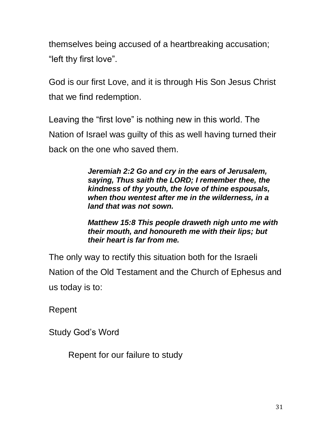themselves being accused of a heartbreaking accusation; "left thy first love".

God is our first Love, and it is through His Son Jesus Christ that we find redemption.

Leaving the "first love" is nothing new in this world. The Nation of Israel was guilty of this as well having turned their back on the one who saved them.

> *Jeremiah 2:2 Go and cry in the ears of Jerusalem, saying, Thus saith the LORD; I remember thee, the kindness of thy youth, the love of thine espousals, when thou wentest after me in the wilderness, in a land that was not sown.*

*Matthew 15:8 This people draweth nigh unto me with their mouth, and honoureth me with their lips; but their heart is far from me.*

The only way to rectify this situation both for the Israeli Nation of the Old Testament and the Church of Ephesus and us today is to:

Repent

Study God's Word

Repent for our failure to study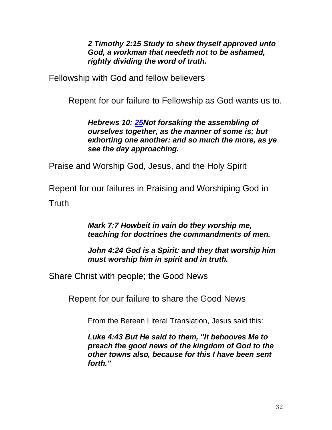*2 Timothy 2:15 Study to shew thyself approved unto God, a workman that needeth not to be ashamed, rightly dividing the word of truth.*

Fellowship with God and fellow believers

Repent for our failure to Fellowship as God wants us to.

*Hebrews 10: [25N](http://biblehub.com/hebrews/10-25.htm)ot forsaking the assembling of ourselves together, as the manner of some is; but exhorting one another: and so much the more, as ye see the day approaching.*

Praise and Worship God, Jesus, and the Holy Spirit

Repent for our failures in Praising and Worshiping God in **Truth** 

> *Mark 7:7 Howbeit in vain do they worship me, teaching for doctrines the commandments of men.*

*John 4:24 God is a Spirit: and they that worship him must worship him in spirit and in truth.*

Share Christ with people; the Good News

Repent for our failure to share the Good News

From the Berean Literal Translation, Jesus said this:

*Luke 4:43 But He said to them, "It behooves Me to preach the good news of the kingdom of God to the other towns also, because for this I have been sent forth."*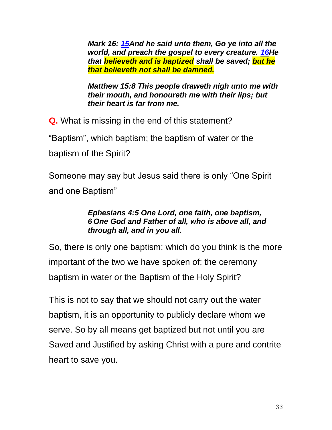*Mark 16: [15A](http://biblehub.com/mark/16-15.htm)nd he said unto them, Go ye into all the world, and preach the gospel to every creature. [16H](http://biblehub.com/mark/16-16.htm)e that believeth and is baptized shall be saved; but he that believeth not shall be damned.*

*Matthew 15:8 This people draweth nigh unto me with their mouth, and honoureth me with their lips; but their heart is far from me.*

**Q.** What is missing in the end of this statement?

"Baptism", which baptism; the baptism of water or the baptism of the Spirit?

Someone may say but Jesus said there is only "One Spirit and one Baptism"

### *Ephesians 4:5 One Lord, one faith, one baptism, 6 One God and Father of all, who is above all, and through all, and in you all.*

So, there is only one baptism; which do you think is the more important of the two we have spoken of; the ceremony baptism in water or the Baptism of the Holy Spirit?

This is not to say that we should not carry out the water baptism, it is an opportunity to publicly declare whom we serve. So by all means get baptized but not until you are Saved and Justified by asking Christ with a pure and contrite heart to save you.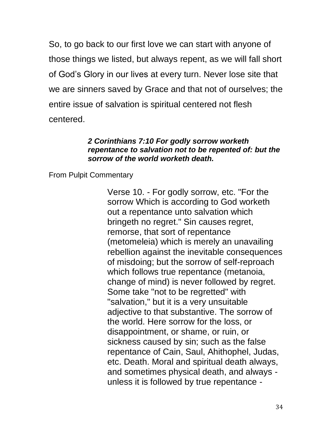So, to go back to our first love we can start with anyone of those things we listed, but always repent, as we will fall short of God's Glory in our lives at every turn. Never lose site that we are sinners saved by Grace and that not of ourselves; the entire issue of salvation is spiritual centered not flesh centered.

#### *2 Corinthians 7:10 For godly sorrow worketh repentance to salvation not to be repented of: but the sorrow of the world worketh death.*

From Pulpit Commentary

Verse 10. - For godly sorrow, etc. "For the sorrow Which is according to God worketh out a repentance unto salvation which bringeth no regret." Sin causes regret, remorse, that sort of repentance (metomeleia) which is merely an unavailing rebellion against the inevitable consequences of misdoing; but the sorrow of self-reproach which follows true repentance (metanoia, change of mind) is never followed by regret. Some take "not to be regretted" with "salvation," but it is a very unsuitable adjective to that substantive. The sorrow of the world. Here sorrow for the loss, or disappointment, or shame, or ruin, or sickness caused by sin; such as the false repentance of Cain, Saul, Ahithophel, Judas, etc. Death. Moral and spiritual death always, and sometimes physical death, and always unless it is followed by true repentance -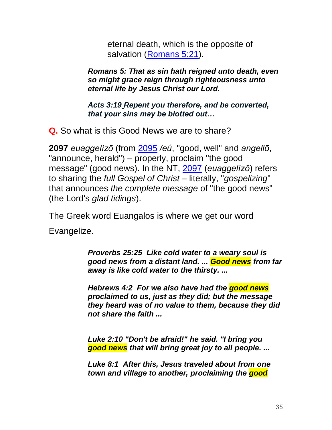eternal death, which is the opposite of salvation [\(Romans 5:21\)](http://biblehub.com/romans/5-21.htm).

*Romans 5: That as sin hath reigned unto death, even so might grace reign through righteousness unto eternal life by Jesus Christ our Lord.*

*Acts 3:19 [Repent you therefore, and be converted,](http://biblehub.com/acts/3-19.htm)  [that your sins may be blotted out…](http://biblehub.com/acts/3-19.htm)*

**Q.** So what is this Good News we are to share?

**2097** *euaggelízō* (from [2095](http://biblehub.com/greek/2095.htm) */eú*, "good, well" and *angellō*, "announce, herald") – properly, proclaim "the good message" (good news). In the NT, [2097](http://biblehub.com/greek/2097.htm) (*euaggelízō*) refers to sharing the *full Gospel of Christ* – literally, "*gospelizing*" that announces *the complete message* of "the good news" (the Lord's *glad tidings*).

The Greek word Euangalos is where we get our word

Evangelize.

*[Proverbs 25:25](http://biblehub.com/proverbs/25-25.htm) Like cold water to a weary soul is good news from a distant land. ... Good news from far away is like cold water to the thirsty. ...*

*[Hebrews 4:2](http://biblehub.com/hebrews/4-2.htm) For we also have had the good news proclaimed to us, just as they did; but the message they heard was of no value to them, because they did not share the faith ...*

*[Luke 2:10 "](http://biblehub.com/luke/2-10.htm)Don't be afraid!" he said. "I bring you good news that will bring great joy to all people. ...*

*[Luke 8:1](http://biblehub.com/luke/8-1.htm) After this, Jesus traveled about from one town and village to another, proclaiming the good*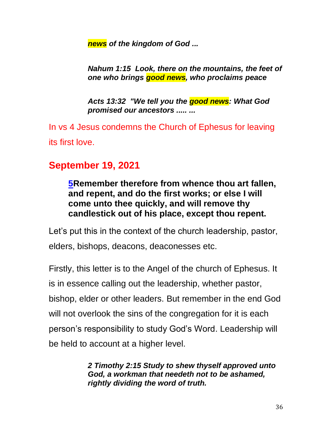*news of the kingdom of God ...*

*[Nahum 1:15](http://biblehub.com/nahum/1-15.htm) Look, there on the mountains, the feet of one who brings good news, who proclaims peace*

*[Acts 13:32](http://biblehub.com/acts/13-32.htm) "We tell you the good news: What God promised our ancestors ..... ...*

In vs 4 Jesus condemns the Church of Ephesus for leaving its first love.

# **September 19, 2021**

**[5R](http://biblehub.com/revelation/2-5.htm)emember therefore from whence thou art fallen, and repent, and do the first works; or else I will come unto thee quickly, and will remove thy candlestick out of his place, except thou repent.**

Let's put this in the context of the church leadership, pastor, elders, bishops, deacons, deaconesses etc.

Firstly, this letter is to the Angel of the church of Ephesus. It is in essence calling out the leadership, whether pastor, bishop, elder or other leaders. But remember in the end God will not overlook the sins of the congregation for it is each person's responsibility to study God's Word. Leadership will be held to account at a higher level.

> *2 Timothy 2:15 Study to shew thyself approved unto God, a workman that needeth not to be ashamed, rightly dividing the word of truth.*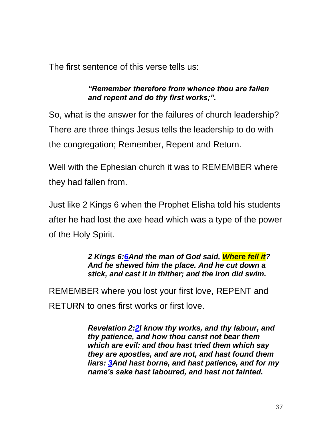The first sentence of this verse tells us:

*"Remember therefore from whence thou are fallen and repent and do thy first works;".* 

So, what is the answer for the failures of church leadership? There are three things Jesus tells the leadership to do with the congregation; Remember, Repent and Return.

Well with the Ephesian church it was to REMEMBER where they had fallen from.

Just like 2 Kings 6 when the Prophet Elisha told his students after he had lost the axe head which was a type of the power of the Holy Spirit.

> *2 Kings 6[:6A](https://biblehub.com/2_kings/6-6.htm)nd the man of God said, Where fell it? And he shewed him the place. And he cut down a stick, and cast it in thither; and the iron did swim.*

REMEMBER where you lost your first love, REPENT and RETURN to ones first works or first love.

> *Revelation 2[:2I](http://biblehub.com/revelation/2-2.htm) know thy works, and thy labour, and thy patience, and how thou canst not bear them which are evil: and thou hast tried them which say they are apostles, and are not, and hast found them liars: [3A](http://biblehub.com/revelation/2-3.htm)nd hast borne, and hast patience, and for my name's sake hast laboured, and hast not fainted.*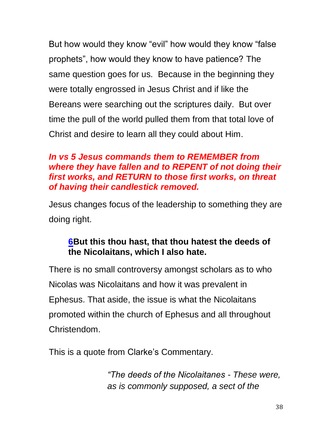But how would they know "evil" how would they know "false prophets", how would they know to have patience? The same question goes for us. Because in the beginning they were totally engrossed in Jesus Christ and if like the Bereans were searching out the scriptures daily. But over time the pull of the world pulled them from that total love of Christ and desire to learn all they could about Him.

### *In vs 5 Jesus commands them to REMEMBER from where they have fallen and to REPENT of not doing their first works, and RETURN to those first works, on threat of having their candlestick removed.*

Jesus changes focus of the leadership to something they are doing right.

### **[6B](http://biblehub.com/revelation/2-6.htm)ut this thou hast, that thou hatest the deeds of the Nicolaitans, which I also hate.**

There is no small controversy amongst scholars as to who Nicolas was Nicolaitans and how it was prevalent in Ephesus. That aside, the issue is what the Nicolaitans promoted within the church of Ephesus and all throughout Christendom.

This is a quote from Clarke's Commentary.

*"The deeds of the Nicolaitanes - These were, as is commonly supposed, a sect of the*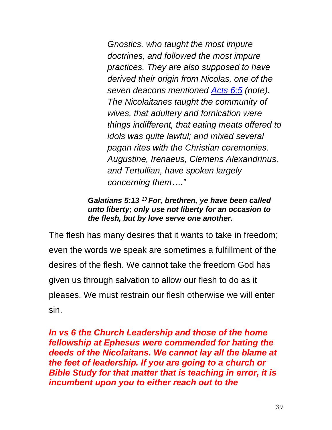*Gnostics, who taught the most impure doctrines, and followed the most impure practices. They are also supposed to have derived their origin from Nicolas, one of the seven deacons mentioned [Acts 6:5](http://biblehub.com/acts/6-5.htm) (note). The Nicolaitanes taught the community of wives, that adultery and fornication were things indifferent, that eating meats offered to idols was quite lawful; and mixed several pagan rites with the Christian ceremonies. Augustine, Irenaeus, Clemens Alexandrinus, and Tertullian, have spoken largely concerning them…."*

#### *Galatians 5:13 <sup>13</sup> For, brethren, ye have been called unto liberty; only use not liberty for an occasion to the flesh, but by love serve one another.*

The flesh has many desires that it wants to take in freedom; even the words we speak are sometimes a fulfillment of the desires of the flesh. We cannot take the freedom God has given us through salvation to allow our flesh to do as it pleases. We must restrain our flesh otherwise we will enter sin.

*In vs 6 the Church Leadership and those of the home fellowship at Ephesus were commended for hating the deeds of the Nicolaitans. We cannot lay all the blame at the feet of leadership. If you are going to a church or Bible Study for that matter that is teaching in error, it is incumbent upon you to either reach out to the*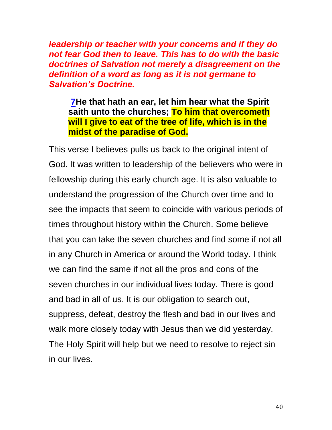*leadership or teacher with your concerns and if they do not fear God then to leave. This has to do with the basic doctrines of Salvation not merely a disagreement on the definition of a word as long as it is not germane to Salvation's Doctrine.*

**[7H](http://biblehub.com/revelation/2-7.htm)e that hath an ear, let him hear what the Spirit saith unto the churches; To him that overcometh will I give to eat of the tree of life, which is in the midst of the paradise of God.**

This verse I believes pulls us back to the original intent of God. It was written to leadership of the believers who were in fellowship during this early church age. It is also valuable to understand the progression of the Church over time and to see the impacts that seem to coincide with various periods of times throughout history within the Church. Some believe that you can take the seven churches and find some if not all in any Church in America or around the World today. I think we can find the same if not all the pros and cons of the seven churches in our individual lives today. There is good and bad in all of us. It is our obligation to search out, suppress, defeat, destroy the flesh and bad in our lives and walk more closely today with Jesus than we did yesterday. The Holy Spirit will help but we need to resolve to reject sin in our lives.

40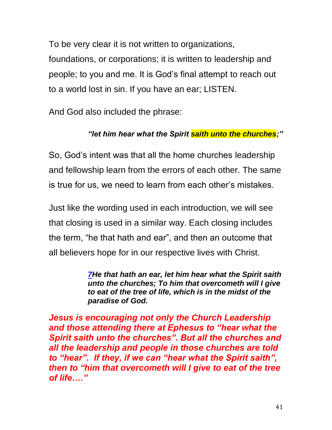To be very clear it is not written to organizations, foundations, or corporations; it is written to leadership and people; to you and me. It is God's final attempt to reach out to a world lost in sin. If you have an ear; LISTEN.

And God also included the phrase:

### *"let him hear what the Spirit saith unto the churches;"*

So, God's intent was that all the home churches leadership and fellowship learn from the errors of each other. The same is true for us, we need to learn from each other's mistakes.

Just like the wording used in each introduction, we will see that closing is used in a similar way. Each closing includes the term, "he that hath and ear", and then an outcome that all believers hope for in our respective lives with Christ.

> *[7H](http://biblehub.com/revelation/2-7.htm)e that hath an ear, let him hear what the Spirit saith unto the churches; To him that overcometh will I give to eat of the tree of life, which is in the midst of the paradise of God.*

*Jesus is encouraging not only the Church Leadership and those attending there at Ephesus to "hear what the Spirit saith unto the churches". But all the churches and all the leadership and people in those churches are told to "hear". If they, if we can "hear what the Spirit saith", then to "him that overcometh will I give to eat of the tree of life…."*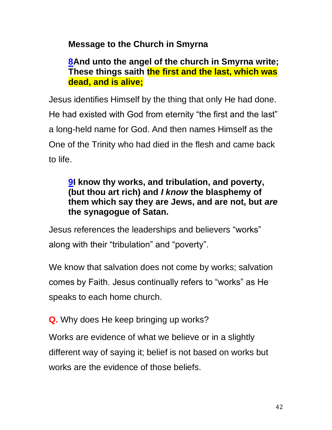## **Message to the Church in Smyrna**

### **[8A](http://biblehub.com/revelation/2-8.htm)nd unto the angel of the church in Smyrna write; These things saith the first and the last, which was dead, and is alive;**

Jesus identifies Himself by the thing that only He had done. He had existed with God from eternity "the first and the last" a long-held name for God. And then names Himself as the One of the Trinity who had died in the flesh and came back to life.

### **[9I](http://biblehub.com/revelation/2-9.htm) know thy works, and tribulation, and poverty, (but thou art rich) and** *I know* **the blasphemy of them which say they are Jews, and are not, but** *are* **the synagogue of Satan.**

Jesus references the leaderships and believers "works" along with their "tribulation" and "poverty".

We know that salvation does not come by works; salvation comes by Faith. Jesus continually refers to "works" as He speaks to each home church.

**Q.** Why does He keep bringing up works?

Works are evidence of what we believe or in a slightly different way of saying it; belief is not based on works but works are the evidence of those beliefs.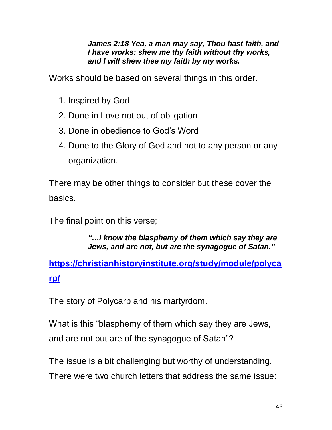#### *James 2:18 Yea, a man may say, Thou hast faith, and I have works: shew me thy faith without thy works, and I will shew thee my faith by my works.*

Works should be based on several things in this order.

- 1. Inspired by God
- 2. Done in Love not out of obligation
- 3. Done in obedience to God's Word
- 4. Done to the Glory of God and not to any person or any organization.

There may be other things to consider but these cover the basics.

The final point on this verse;

#### *"…I know the blasphemy of them which say they are Jews, and are not, but are the synagogue of Satan."*

**[https://christianhistoryinstitute.org/study/module/polyca](https://christianhistoryinstitute.org/study/module/polycarp/) [rp/](https://christianhistoryinstitute.org/study/module/polycarp/)**

The story of Polycarp and his martyrdom.

What is this "blasphemy of them which say they are Jews, and are not but are of the synagogue of Satan"?

The issue is a bit challenging but worthy of understanding.

There were two church letters that address the same issue: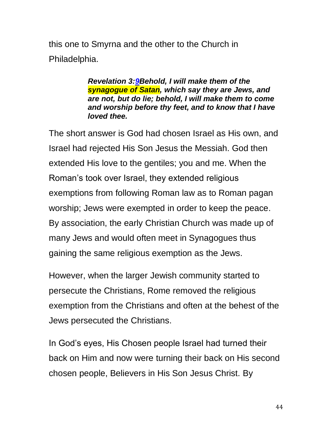this one to Smyrna and the other to the Church in Philadelphia.

> *Revelation 3[:9B](http://biblehub.com/revelation/3-9.htm)ehold, I will make them of the synagogue of Satan, which say they are Jews, and are not, but do lie; behold, I will make them to come and worship before thy feet, and to know that I have loved thee.*

The short answer is God had chosen Israel as His own, and Israel had rejected His Son Jesus the Messiah. God then extended His love to the gentiles; you and me. When the Roman's took over Israel, they extended religious exemptions from following Roman law as to Roman pagan worship; Jews were exempted in order to keep the peace. By association, the early Christian Church was made up of many Jews and would often meet in Synagogues thus gaining the same religious exemption as the Jews.

However, when the larger Jewish community started to persecute the Christians, Rome removed the religious exemption from the Christians and often at the behest of the Jews persecuted the Christians.

In God's eyes, His Chosen people Israel had turned their back on Him and now were turning their back on His second chosen people, Believers in His Son Jesus Christ. By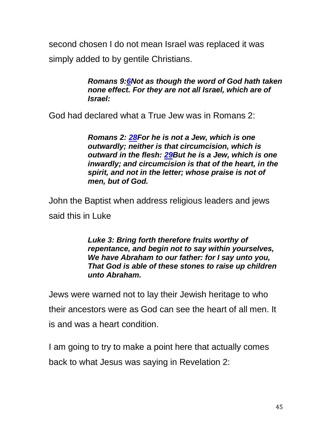second chosen I do not mean Israel was replaced it was simply added to by gentile Christians.

> *Romans 9[:6N](https://biblehub.com/romans/9-6.htm)ot as though the word of God hath taken none effect. For they are not all Israel, which are of Israel:*

God had declared what a True Jew was in Romans 2:

*Romans 2: [28F](https://biblehub.com/romans/2-28.htm)or he is not a Jew, which is one outwardly; neither is that circumcision, which is outward in the flesh: [29B](https://biblehub.com/romans/2-29.htm)ut he is a Jew, which is one inwardly; and circumcision is that of the heart, in the spirit, and not in the letter; whose praise is not of men, but of God.*

John the Baptist when address religious leaders and jews said this in Luke

> *Luke 3: Bring forth therefore fruits worthy of repentance, and begin not to say within yourselves, We have Abraham to our father: for I say unto you, That God is able of these stones to raise up children unto Abraham.*

Jews were warned not to lay their Jewish heritage to who their ancestors were as God can see the heart of all men. It is and was a heart condition.

I am going to try to make a point here that actually comes back to what Jesus was saying in Revelation 2: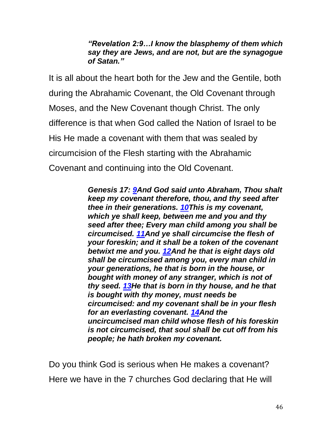#### *"Revelation 2:9…I know the blasphemy of them which say they are Jews, and are not, but are the synagogue of Satan."*

It is all about the heart both for the Jew and the Gentile, both during the Abrahamic Covenant, the Old Covenant through Moses, and the New Covenant though Christ. The only difference is that when God called the Nation of Israel to be His He made a covenant with them that was sealed by circumcision of the Flesh starting with the Abrahamic Covenant and continuing into the Old Covenant.

> *Genesis 17: [9A](https://biblehub.com/genesis/17-9.htm)nd God said unto Abraham, Thou shalt keep my covenant therefore, thou, and thy seed after thee in their generations. [10T](https://biblehub.com/genesis/17-10.htm)his is my covenant, which ye shall keep, between me and you and thy seed after thee; Every man child among you shall be circumcised. [11A](https://biblehub.com/genesis/17-11.htm)nd ye shall circumcise the flesh of your foreskin; and it shall be a token of the covenant betwixt me and you. [12A](https://biblehub.com/genesis/17-12.htm)nd he that is eight days old shall be circumcised among you, every man child in your generations, he that is born in the house, or bought with money of any stranger, which is not of thy seed. [13H](https://biblehub.com/genesis/17-13.htm)e that is born in thy house, and he that is bought with thy money, must needs be circumcised: and my covenant shall be in your flesh for an everlasting covenant. [14A](https://biblehub.com/genesis/17-14.htm)nd the uncircumcised man child whose flesh of his foreskin is not circumcised, that soul shall be cut off from his people; he hath broken my covenant.*

Do you think God is serious when He makes a covenant? Here we have in the 7 churches God declaring that He will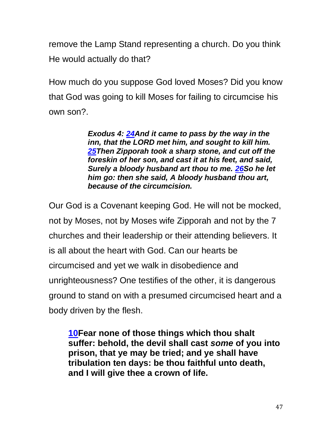remove the Lamp Stand representing a church. Do you think He would actually do that?

How much do you suppose God loved Moses? Did you know that God was going to kill Moses for failing to circumcise his own son?.

> *Exodus 4: [24A](https://biblehub.com/exodus/4-24.htm)nd it came to pass by the way in the inn, that the LORD met him, and sought to kill him. [25T](https://biblehub.com/exodus/4-25.htm)hen Zipporah took a sharp stone, and cut off the foreskin of her son, and cast it at his feet, and said, Surely a bloody husband art thou to me. [26S](https://biblehub.com/exodus/4-26.htm)o he let him go: then she said, A bloody husband thou art, because of the circumcision.*

Our God is a Covenant keeping God. He will not be mocked, not by Moses, not by Moses wife Zipporah and not by the 7 churches and their leadership or their attending believers. It is all about the heart with God. Can our hearts be circumcised and yet we walk in disobedience and unrighteousness? One testifies of the other, it is dangerous ground to stand on with a presumed circumcised heart and a body driven by the flesh.

**[10F](http://biblehub.com/revelation/2-10.htm)ear none of those things which thou shalt suffer: behold, the devil shall cast** *some* **of you into prison, that ye may be tried; and ye shall have tribulation ten days: be thou faithful unto death, and I will give thee a crown of life.**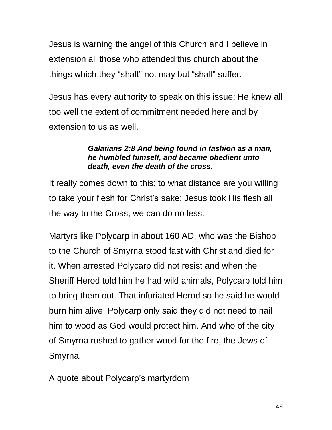Jesus is warning the angel of this Church and I believe in extension all those who attended this church about the things which they "shalt" not may but "shall" suffer.

Jesus has every authority to speak on this issue; He knew all too well the extent of commitment needed here and by extension to us as well.

#### *Galatians 2:8 And being found in fashion as a man, he humbled himself, and became obedient unto death, even the death of the cross.*

It really comes down to this; to what distance are you willing to take your flesh for Christ's sake; Jesus took His flesh all the way to the Cross, we can do no less.

Martyrs like Polycarp in about 160 AD, who was the Bishop to the Church of Smyrna stood fast with Christ and died for it. When arrested Polycarp did not resist and when the Sheriff Herod told him he had wild animals, Polycarp told him to bring them out. That infuriated Herod so he said he would burn him alive. Polycarp only said they did not need to nail him to wood as God would protect him. And who of the city of Smyrna rushed to gather wood for the fire, the Jews of Smyrna.

A quote about Polycarp's martyrdom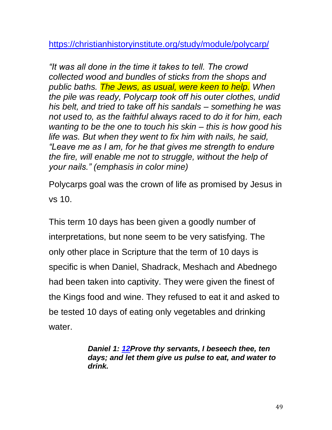<https://christianhistoryinstitute.org/study/module/polycarp/>

*"It was all done in the time it takes to tell. The crowd collected wood and bundles of sticks from the shops and public baths. The Jews, as usual, were keen to help. When the pile was ready, Polycarp took off his outer clothes, undid his belt, and tried to take off his sandals – something he was not used to, as the faithful always raced to do it for him, each wanting to be the one to touch his skin – this is how good his life was. But when they went to fix him with nails, he said, "Leave me as I am, for he that gives me strength to endure the fire, will enable me not to struggle, without the help of your nails." (emphasis in color mine)*

Polycarps goal was the crown of life as promised by Jesus in vs 10.

This term 10 days has been given a goodly number of interpretations, but none seem to be very satisfying. The only other place in Scripture that the term of 10 days is specific is when Daniel, Shadrack, Meshach and Abednego had been taken into captivity. They were given the finest of the Kings food and wine. They refused to eat it and asked to be tested 10 days of eating only vegetables and drinking water.

> *Daniel 1: [12P](https://biblehub.com/daniel/1-12.htm)rove thy servants, I beseech thee, ten days; and let them give us pulse to eat, and water to drink.*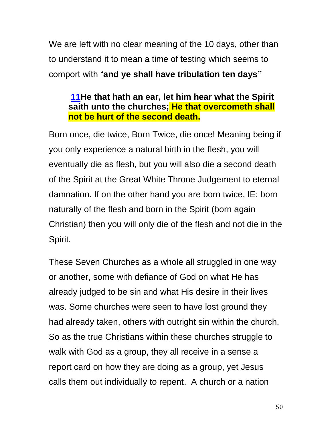We are left with no clear meaning of the 10 days, other than to understand it to mean a time of testing which seems to comport with "**and ye shall have tribulation ten days"**

### **[11H](http://biblehub.com/revelation/2-11.htm)e that hath an ear, let him hear what the Spirit saith unto the churches; He that overcometh shall not be hurt of the second death.**

Born once, die twice, Born Twice, die once! Meaning being if you only experience a natural birth in the flesh, you will eventually die as flesh, but you will also die a second death of the Spirit at the Great White Throne Judgement to eternal damnation. If on the other hand you are born twice, IE: born naturally of the flesh and born in the Spirit (born again Christian) then you will only die of the flesh and not die in the Spirit.

These Seven Churches as a whole all struggled in one way or another, some with defiance of God on what He has already judged to be sin and what His desire in their lives was. Some churches were seen to have lost ground they had already taken, others with outright sin within the church. So as the true Christians within these churches struggle to walk with God as a group, they all receive in a sense a report card on how they are doing as a group, yet Jesus calls them out individually to repent. A church or a nation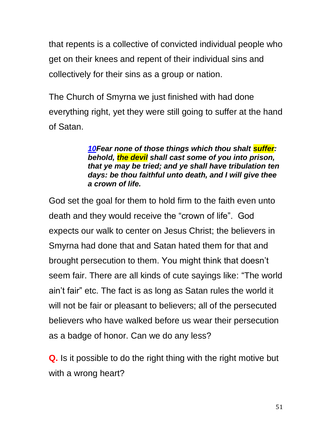that repents is a collective of convicted individual people who get on their knees and repent of their individual sins and collectively for their sins as a group or nation.

The Church of Smyrna we just finished with had done everything right, yet they were still going to suffer at the hand of Satan.

> *[10F](http://biblehub.com/revelation/2-10.htm)ear none of those things which thou shalt suffer: behold, the devil shall cast some of you into prison, that ye may be tried; and ye shall have tribulation ten days: be thou faithful unto death, and I will give thee a crown of life.*

God set the goal for them to hold firm to the faith even unto death and they would receive the "crown of life". God expects our walk to center on Jesus Christ; the believers in Smyrna had done that and Satan hated them for that and brought persecution to them. You might think that doesn't seem fair. There are all kinds of cute sayings like: "The world ain't fair" etc. The fact is as long as Satan rules the world it will not be fair or pleasant to believers; all of the persecuted believers who have walked before us wear their persecution as a badge of honor. Can we do any less?

**Q.** Is it possible to do the right thing with the right motive but with a wrong heart?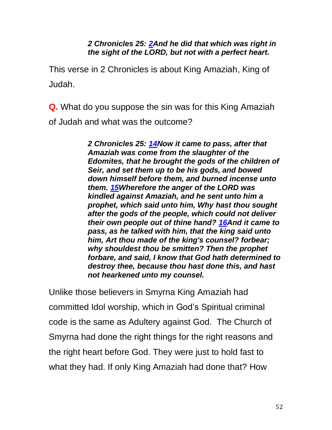#### *2 Chronicles 25: [2A](http://biblehub.com/2_chronicles/25-2.htm)nd he did that which was right in the sight of the LORD, but not with a perfect heart.*

This verse in 2 Chronicles is about King Amaziah, King of Judah.

**Q.** What do you suppose the sin was for this King Amaziah of Judah and what was the outcome?

> *2 Chronicles 25: [14N](http://biblehub.com/2_chronicles/25-14.htm)ow it came to pass, after that Amaziah was come from the slaughter of the Edomites, that he brought the gods of the children of Seir, and set them up to be his gods, and bowed down himself before them, and burned incense unto them. [15W](http://biblehub.com/2_chronicles/25-15.htm)herefore the anger of the LORD was kindled against Amaziah, and he sent unto him a prophet, which said unto him, Why hast thou sought after the gods of the people, which could not deliver their own people out of thine hand? [16A](http://biblehub.com/2_chronicles/25-16.htm)nd it came to pass, as he talked with him, that the king said unto him, Art thou made of the king's counsel? forbear; why shouldest thou be smitten? Then the prophet forbare, and said, I know that God hath determined to destroy thee, because thou hast done this, and hast not hearkened unto my counsel.*

Unlike those believers in Smyrna King Amaziah had committed Idol worship, which in God's Spiritual criminal code is the same as Adultery against God. The Church of Smyrna had done the right things for the right reasons and the right heart before God. They were just to hold fast to what they had. If only King Amaziah had done that? How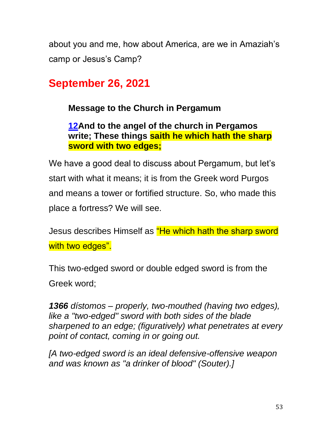about you and me, how about America, are we in Amaziah's camp or Jesus's Camp?

# **September 26, 2021**

**Message to the Church in Pergamum**

### **[12A](http://biblehub.com/revelation/2-12.htm)nd to the angel of the church in Pergamos write; These things saith he which hath the sharp sword with two edges;**

We have a good deal to discuss about Pergamum, but let's start with what it means; it is from the Greek word Purgos and means a tower or fortified structure. So, who made this place a fortress? We will see.

Jesus describes Himself as "He which hath the sharp sword with two edges".

This two-edged sword or double edged sword is from the Greek word;

*1366 dístomos – properly, two-mouthed (having two edges), like a "two-edged" sword with both sides of the blade sharpened to an edge; (figuratively) what penetrates at every point of contact, coming in or going out.* 

*[A two-edged sword is an ideal defensive-offensive weapon and was known as "a drinker of blood" (Souter).]*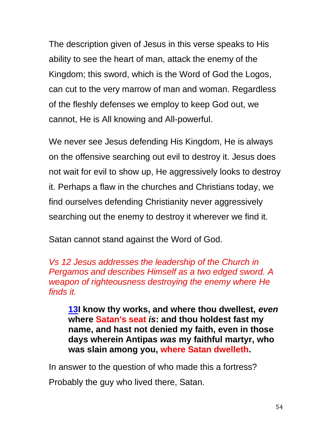The description given of Jesus in this verse speaks to His ability to see the heart of man, attack the enemy of the Kingdom; this sword, which is the Word of God the Logos, can cut to the very marrow of man and woman. Regardless of the fleshly defenses we employ to keep God out, we cannot, He is All knowing and All-powerful.

We never see Jesus defending His Kingdom, He is always on the offensive searching out evil to destroy it. Jesus does not wait for evil to show up, He aggressively looks to destroy it. Perhaps a flaw in the churches and Christians today, we find ourselves defending Christianity never aggressively searching out the enemy to destroy it wherever we find it.

Satan cannot stand against the Word of God.

*Vs 12 Jesus addresses the leadership of the Church in Pergamos and describes Himself as a two edged sword. A weapon of righteousness destroying the enemy where He finds it.* 

**[13I](http://biblehub.com/revelation/2-13.htm) know thy works, and where thou dwellest,** *even* **where Satan's seat** *is***: and thou holdest fast my name, and hast not denied my faith, even in those days wherein Antipas** *was* **my faithful martyr, who was slain among you, where Satan dwelleth.** 

In answer to the question of who made this a fortress?

Probably the guy who lived there, Satan.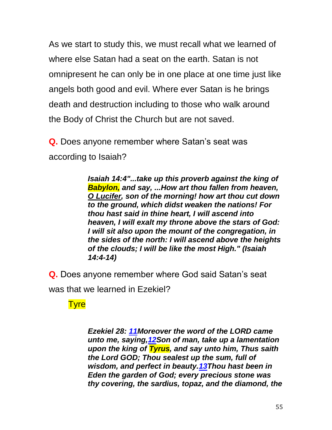As we start to study this, we must recall what we learned of where else Satan had a seat on the earth. Satan is not omnipresent he can only be in one place at one time just like angels both good and evil. Where ever Satan is he brings death and destruction including to those who walk around the Body of Christ the Church but are not saved.

**Q.** Does anyone remember where Satan's seat was according to Isaiah?

> *Isaiah 14:4"...take up this proverb against the king of Babylon, and say, ...How art thou fallen from heaven, O Lucifer, son of the morning! how art thou cut down to the ground, which didst weaken the nations! For thou hast said in thine heart, I will ascend into heaven, I will exalt my throne above the stars of God: I will sit also upon the mount of the congregation, in the sides of the north: I will ascend above the heights of the clouds; I will be like the most High." (Isaiah 14:4-14)*

**Q.** Does anyone remember where God said Satan's seat was that we learned in Ezekiel?

**Tyre** 

*Ezekiel 28: [11M](http://biblehub.com/ezekiel/28-11.htm)oreover the word of the LORD came unto me, saying[,12S](http://biblehub.com/ezekiel/28-12.htm)on of man, take up a lamentation upon the king of Tyrus, and say unto him, Thus saith the Lord GOD; Thou sealest up the sum, full of wisdom, and perfect in beauty[.13T](http://biblehub.com/ezekiel/28-13.htm)hou hast been in Eden the garden of God; every precious stone was thy covering, the sardius, topaz, and the diamond, the*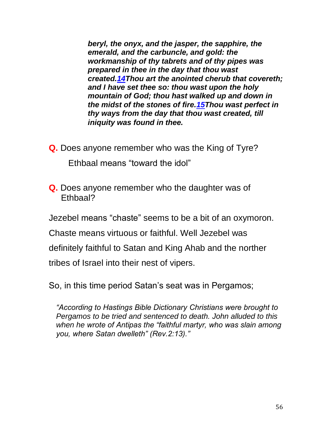*beryl, the onyx, and the jasper, the sapphire, the emerald, and the carbuncle, and gold: the workmanship of thy tabrets and of thy pipes was prepared in thee in the day that thou wast created[.14T](http://biblehub.com/ezekiel/28-14.htm)hou art the anointed cherub that covereth; and I have set thee so: thou wast upon the holy mountain of God; thou hast walked up and down in the midst of the stones of fire[.15T](http://biblehub.com/ezekiel/28-15.htm)hou wast perfect in thy ways from the day that thou wast created, till iniquity was found in thee.*

**Q.** Does anyone remember who was the King of Tyre?

Ethbaal means "toward the idol"

**Q.** Does anyone remember who the daughter was of Ethbaal?

Jezebel means "chaste" seems to be a bit of an oxymoron.

Chaste means virtuous or faithful. Well Jezebel was

definitely faithful to Satan and King Ahab and the norther

tribes of Israel into their nest of vipers.

So, in this time period Satan's seat was in Pergamos;

*"According to Hastings Bible Dictionary Christians were brought to Pergamos to be tried and sentenced to death. John alluded to this when he wrote of Antipas the "faithful martyr, who was slain among you, where Satan dwelleth" (Rev.2:13)."*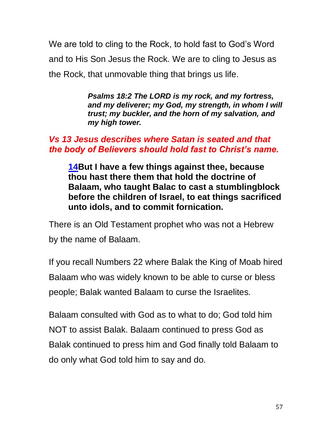We are told to cling to the Rock, to hold fast to God's Word and to His Son Jesus the Rock. We are to cling to Jesus as the Rock, that unmovable thing that brings us life.

> *Psalms 18:2 The LORD is my rock, and my fortress, and my deliverer; my God, my strength, in whom I will trust; my buckler, and the horn of my salvation, and my high tower.*

### *Vs 13 Jesus describes where Satan is seated and that the body of Believers should hold fast to Christ's name.*

**[14B](http://biblehub.com/revelation/2-14.htm)ut I have a few things against thee, because thou hast there them that hold the doctrine of Balaam, who taught Balac to cast a stumblingblock before the children of Israel, to eat things sacrificed unto idols, and to commit fornication.**

There is an Old Testament prophet who was not a Hebrew by the name of Balaam.

If you recall Numbers 22 where Balak the King of Moab hired Balaam who was widely known to be able to curse or bless people; Balak wanted Balaam to curse the Israelites.

Balaam consulted with God as to what to do; God told him NOT to assist Balak. Balaam continued to press God as Balak continued to press him and God finally told Balaam to do only what God told him to say and do.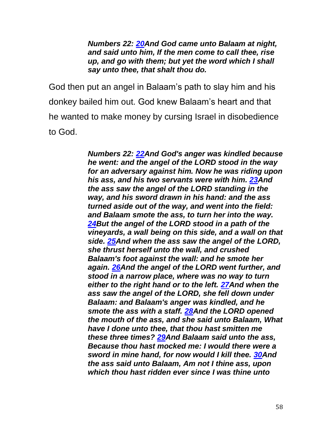*Numbers 22: [20A](http://biblehub.com/numbers/22-20.htm)nd God came unto Balaam at night, and said unto him, If the men come to call thee, rise up, and go with them; but yet the word which I shall say unto thee, that shalt thou do.*

God then put an angel in Balaam's path to slay him and his donkey bailed him out. God knew Balaam's heart and that he wanted to make money by cursing Israel in disobedience to God.

> *Numbers 22: [22A](http://biblehub.com/numbers/22-22.htm)nd God's anger was kindled because he went: and the angel of the LORD stood in the way for an adversary against him. Now he was riding upon his ass, and his two servants were with him. [23A](http://biblehub.com/numbers/22-23.htm)nd the ass saw the angel of the LORD standing in the way, and his sword drawn in his hand: and the ass turned aside out of the way, and went into the field: and Balaam smote the ass, to turn her into the way. [24B](http://biblehub.com/numbers/22-24.htm)ut the angel of the LORD stood in a path of the vineyards, a wall being on this side, and a wall on that side. [25A](http://biblehub.com/numbers/22-25.htm)nd when the ass saw the angel of the LORD, she thrust herself unto the wall, and crushed Balaam's foot against the wall: and he smote her again. [26A](http://biblehub.com/numbers/22-26.htm)nd the angel of the LORD went further, and stood in a narrow place, where was no way to turn either to the right hand or to the left. [27A](http://biblehub.com/numbers/22-27.htm)nd when the ass saw the angel of the LORD, she fell down under Balaam: and Balaam's anger was kindled, and he smote the ass with a staff. [28A](http://biblehub.com/numbers/22-28.htm)nd the LORD opened the mouth of the ass, and she said unto Balaam, What have I done unto thee, that thou hast smitten me these three times? [29A](http://biblehub.com/numbers/22-29.htm)nd Balaam said unto the ass, Because thou hast mocked me: I would there were a sword in mine hand, for now would I kill thee. [30A](http://biblehub.com/numbers/22-30.htm)nd the ass said unto Balaam, Am not I thine ass, upon which thou hast ridden ever since I was thine unto*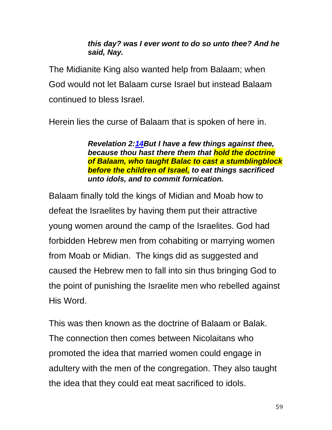#### *this day? was I ever wont to do so unto thee? And he said, Nay.*

The Midianite King also wanted help from Balaam; when God would not let Balaam curse Israel but instead Balaam continued to bless Israel.

Herein lies the curse of Balaam that is spoken of here in.

*Revelation 2[:14B](http://biblehub.com/revelation/2-14.htm)ut I have a few things against thee, because thou hast there them that hold the doctrine of Balaam, who taught Balac to cast a stumblingblock before the children of Israel, to eat things sacrificed unto idols, and to commit fornication.*

Balaam finally told the kings of Midian and Moab how to defeat the Israelites by having them put their attractive young women around the camp of the Israelites. God had forbidden Hebrew men from cohabiting or marrying women from Moab or Midian. The kings did as suggested and caused the Hebrew men to fall into sin thus bringing God to the point of punishing the Israelite men who rebelled against His Word.

This was then known as the doctrine of Balaam or Balak. The connection then comes between Nicolaitans who promoted the idea that married women could engage in adultery with the men of the congregation. They also taught the idea that they could eat meat sacrificed to idols.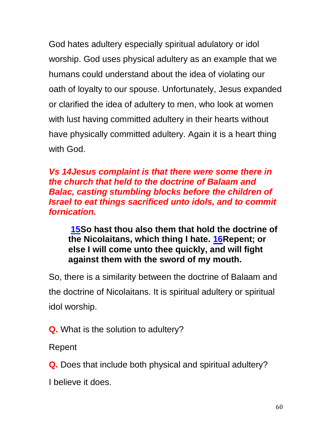God hates adultery especially spiritual adulatory or idol worship. God uses physical adultery as an example that we humans could understand about the idea of violating our oath of loyalty to our spouse. Unfortunately, Jesus expanded or clarified the idea of adultery to men, who look at women with lust having committed adultery in their hearts without have physically committed adultery. Again it is a heart thing with God.

*Vs 14Jesus complaint is that there were some there in the church that held to the doctrine of Balaam and Balac, casting stumbling blocks before the children of Israel to eat things sacrificed unto idols, and to commit fornication.*

**[15S](http://biblehub.com/revelation/2-15.htm)o hast thou also them that hold the doctrine of the Nicolaitans, which thing I hate. [16R](http://biblehub.com/revelation/2-16.htm)epent; or else I will come unto thee quickly, and will fight against them with the sword of my mouth.**

So, there is a similarity between the doctrine of Balaam and the doctrine of Nicolaitans. It is spiritual adultery or spiritual idol worship.

**Q.** What is the solution to adultery?

Repent

**Q.** Does that include both physical and spiritual adultery?

I believe it does.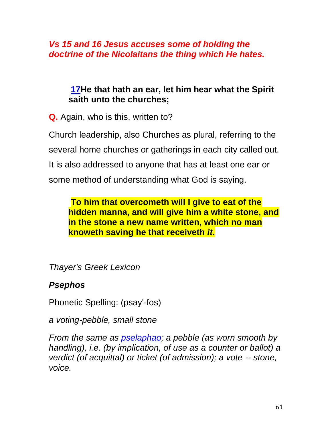*Vs 15 and 16 Jesus accuses some of holding the doctrine of the Nicolaitans the thing which He hates.*

### **[17H](http://biblehub.com/revelation/2-17.htm)e that hath an ear, let him hear what the Spirit saith unto the churches;**

**Q.** Again, who is this, written to?

Church leadership, also Churches as plural, referring to the several home churches or gatherings in each city called out. It is also addressed to anyone that has at least one ear or some method of understanding what God is saying.

### **To him that overcometh will I give to eat of the hidden manna, and will give him a white stone, and in the stone a new name written, which no man knoweth saving he that receiveth** *it***.**

*Thayer's Greek Lexicon*

# *Psephos*

Phonetic Spelling: (psay'-fos)

*a voting-pebble, small stone*

*From the same as [pselaphao;](http://biblehub.com/greek/5584.htm) a pebble (as worn smooth by handling), i.e. (by implication, of use as a counter or ballot) a verdict (of acquittal) or ticket (of admission); a vote -- stone, voice.*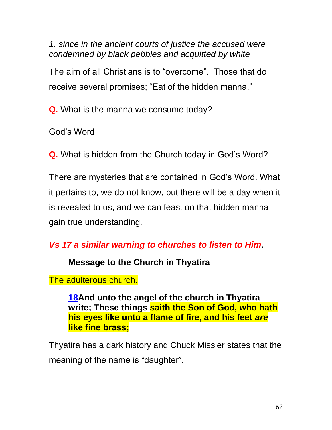*1. since in the ancient courts of justice the accused were condemned by black pebbles and acquitted by white*

The aim of all Christians is to "overcome". Those that do receive several promises; "Eat of the hidden manna."

**Q.** What is the manna we consume today?

God's Word

**Q.** What is hidden from the Church today in God's Word?

There are mysteries that are contained in God's Word. What it pertains to, we do not know, but there will be a day when it is revealed to us, and we can feast on that hidden manna, gain true understanding.

# *Vs 17 a similar warning to churches to listen to Him***.**

### **Message to the Church in Thyatira**

The adulterous church.

**[18A](http://biblehub.com/revelation/2-18.htm)nd unto the angel of the church in Thyatira write; These things saith the Son of God, who hath his eyes like unto a flame of fire, and his feet** *are* **like fine brass;**

Thyatira has a dark history and Chuck Missler states that the meaning of the name is "daughter".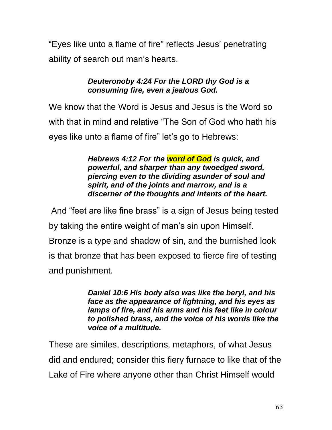"Eyes like unto a flame of fire" reflects Jesus' penetrating ability of search out man's hearts.

#### *Deuteronoby 4:24 For the LORD thy God is a consuming fire, even a jealous God.*

We know that the Word is Jesus and Jesus is the Word so with that in mind and relative "The Son of God who hath his eyes like unto a flame of fire" let's go to Hebrews:

> *Hebrews 4:12 For the word of God is quick, and powerful, and sharper than any twoedged sword, piercing even to the dividing asunder of soul and spirit, and of the joints and marrow, and is a discerner of the thoughts and intents of the heart.*

And "feet are like fine brass" is a sign of Jesus being tested by taking the entire weight of man's sin upon Himself. Bronze is a type and shadow of sin, and the burnished look is that bronze that has been exposed to fierce fire of testing and punishment.

> *Daniel 10:6 His body also was like the beryl, and his face as the appearance of lightning, and his eyes as lamps of fire, and his arms and his feet like in colour to polished brass, and the voice of his words like the voice of a multitude.*

These are similes, descriptions, metaphors, of what Jesus did and endured; consider this fiery furnace to like that of the Lake of Fire where anyone other than Christ Himself would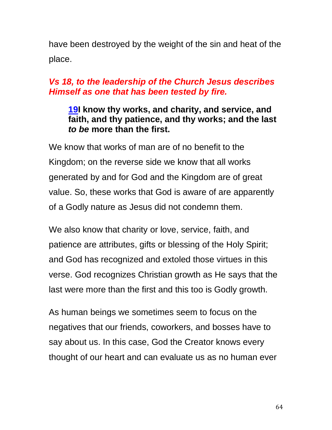have been destroyed by the weight of the sin and heat of the place.

### *Vs 18, to the leadership of the Church Jesus describes Himself as one that has been tested by fire.*

### **[19I](http://biblehub.com/revelation/2-19.htm) know thy works, and charity, and service, and faith, and thy patience, and thy works; and the last**  *to be* **more than the first.**

We know that works of man are of no benefit to the Kingdom; on the reverse side we know that all works generated by and for God and the Kingdom are of great value. So, these works that God is aware of are apparently of a Godly nature as Jesus did not condemn them.

We also know that charity or love, service, faith, and patience are attributes, gifts or blessing of the Holy Spirit; and God has recognized and extoled those virtues in this verse. God recognizes Christian growth as He says that the last were more than the first and this too is Godly growth.

As human beings we sometimes seem to focus on the negatives that our friends, coworkers, and bosses have to say about us. In this case, God the Creator knows every thought of our heart and can evaluate us as no human ever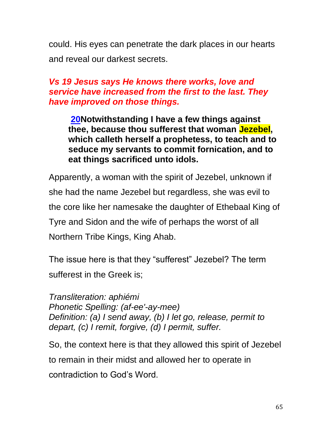could. His eyes can penetrate the dark places in our hearts and reveal our darkest secrets.

### *Vs 19 Jesus says He knows there works, love and service have increased from the first to the last. They have improved on those things.*

**[20N](http://biblehub.com/revelation/2-20.htm)otwithstanding I have a few things against thee, because thou sufferest that woman Jezebel, which calleth herself a prophetess, to teach and to seduce my servants to commit fornication, and to eat things sacrificed unto idols.**

Apparently, a woman with the spirit of Jezebel, unknown if she had the name Jezebel but regardless, she was evil to the core like her namesake the daughter of Ethebaal King of Tyre and Sidon and the wife of perhaps the worst of all Northern Tribe Kings, King Ahab.

The issue here is that they "sufferest" Jezebel? The term sufferest in the Greek is;

*Transliteration: aphiémi Phonetic Spelling: (af-ee'-ay-mee) Definition: (a) I send away, (b) I let go, release, permit to depart, (c) I remit, forgive, (d) I permit, suffer.*

So, the context here is that they allowed this spirit of Jezebel to remain in their midst and allowed her to operate in contradiction to God's Word.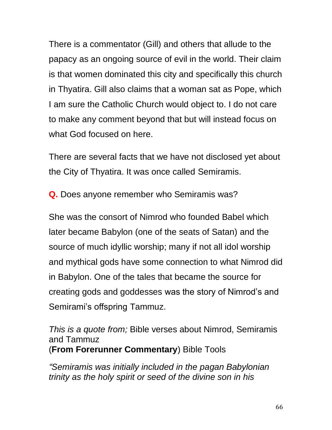There is a commentator (Gill) and others that allude to the papacy as an ongoing source of evil in the world. Their claim is that women dominated this city and specifically this church in Thyatira. Gill also claims that a woman sat as Pope, which I am sure the Catholic Church would object to. I do not care to make any comment beyond that but will instead focus on what God focused on here.

There are several facts that we have not disclosed yet about the City of Thyatira. It was once called Semiramis.

**Q.** Does anyone remember who Semiramis was?

She was the consort of Nimrod who founded Babel which later became Babylon (one of the seats of Satan) and the source of much idyllic worship; many if not all idol worship and mythical gods have some connection to what Nimrod did in Babylon. One of the tales that became the source for creating gods and goddesses was the story of Nimrod's and Semirami's offspring Tammuz.

*This is a quote from;* Bible verses about Nimrod, Semiramis and Tammuz (**From Forerunner Commentary**) Bible Tools

*"Semiramis was initially included in the pagan Babylonian trinity as the holy spirit or seed of the divine son in his*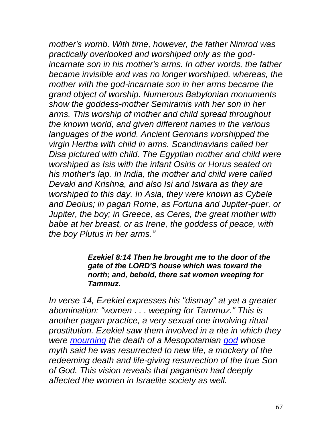*mother's womb. With time, however, the father Nimrod was practically overlooked and worshiped only as the godincarnate son in his mother's arms. In other words, the father became invisible and was no longer worshiped, whereas, the mother with the god-incarnate son in her arms became the grand object of worship. Numerous Babylonian monuments show the goddess-mother Semiramis with her son in her arms. This worship of mother and child spread throughout the known world, and given different names in the various languages of the world. Ancient Germans worshipped the virgin Hertha with child in arms. Scandinavians called her Disa pictured with child. The Egyptian mother and child were worshiped as Isis with the infant Osiris or Horus seated on his mother's lap. In India, the mother and child were called Devaki and Krishna, and also Isi and Iswara as they are worshiped to this day. In Asia, they were known as Cybele and Deoius; in pagan Rome, as Fortuna and Jupiter-puer, or Jupiter, the boy; in Greece, as Ceres, the great mother with babe at her breast, or as Irene, the goddess of peace, with the boy Plutus in her arms."*

#### *Ezekiel 8:14 Then he brought me to the door of the gate of the LORD'S house which was toward the north; and, behold, there sat women weeping for Tammuz.*

*In verse 14, Ezekiel expresses his "dismay" at yet a greater abomination: "women . . . weeping for Tammuz." This is another pagan practice, a very sexual one involving ritual prostitution. Ezekiel saw them involved in a rite in which they were [mourning](https://www.cgg.org/index.cfm/fuseaction/Library.sr/CT/PERSONAL/k/184/Beatitudes-Mourning.htm) the death of a Mesopotamian [god](https://www.cgg.org/index.cfm/fuseaction/Library.sr/CT/CGGBOOKLETS/k/421/God-Is-What.htm) whose myth said he was resurrected to new life, a mockery of the redeeming death and life-giving resurrection of the true Son of God. This vision reveals that paganism had deeply affected the women in Israelite society as well.*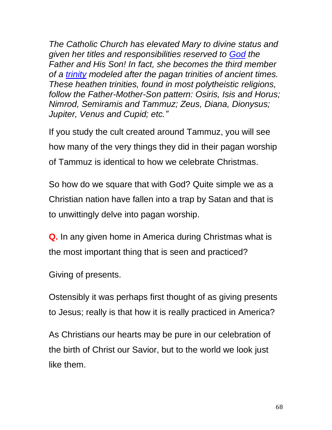*The Catholic Church has elevated Mary to divine status and given her titles and responsibilities reserved to [God](https://www.cgg.org/index.cfm/fuseaction/Library.sr/CT/CGGBOOKLETS/k/421/God-Is-What.htm) the Father and His Son! In fact, she becomes the third member of a [trinity](https://www.cgg.org/index.cfm/fuseaction/Library.topic/ID/378/Trinity.htm) modeled after the pagan trinities of ancient times. These heathen trinities, found in most polytheistic religions, follow the Father-Mother-Son pattern: Osiris, Isis and Horus; Nimrod, Semiramis and Tammuz; Zeus, Diana, Dionysus; Jupiter, Venus and Cupid; etc."*

If you study the cult created around Tammuz, you will see how many of the very things they did in their pagan worship of Tammuz is identical to how we celebrate Christmas.

So how do we square that with God? Quite simple we as a Christian nation have fallen into a trap by Satan and that is to unwittingly delve into pagan worship.

**Q.** In any given home in America during Christmas what is the most important thing that is seen and practiced?

Giving of presents.

Ostensibly it was perhaps first thought of as giving presents to Jesus; really is that how it is really practiced in America?

As Christians our hearts may be pure in our celebration of the birth of Christ our Savior, but to the world we look just like them.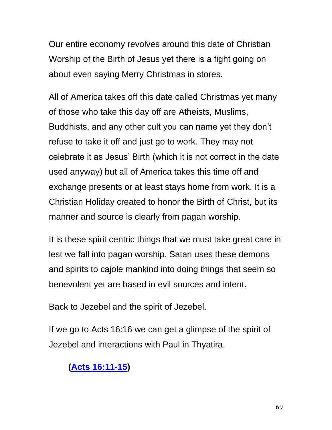Our entire economy revolves around this date of Christian Worship of the Birth of Jesus yet there is a fight going on about even saying Merry Christmas in stores.

All of America takes off this date called Christmas yet many of those who take this day off are Atheists, Muslims, Buddhists, and any other cult you can name yet they don't refuse to take it off and just go to work. They may not celebrate it as Jesus' Birth (which it is not correct in the date used anyway) but all of America takes this time off and exchange presents or at least stays home from work. It is a Christian Holiday created to honor the Birth of Christ, but its manner and source is clearly from pagan worship.

It is these spirit centric things that we must take great care in lest we fall into pagan worship. Satan uses these demons and spirits to cajole mankind into doing things that seem so benevolent yet are based in evil sources and intent.

Back to Jezebel and the spirit of Jezebel.

If we go to Acts 16:16 we can get a glimpse of the spirit of Jezebel and interactions with Paul in Thyatira.

# **(Acts [16:11-15\)](http://biblehub.com/kjv/acts/16.htm#11)**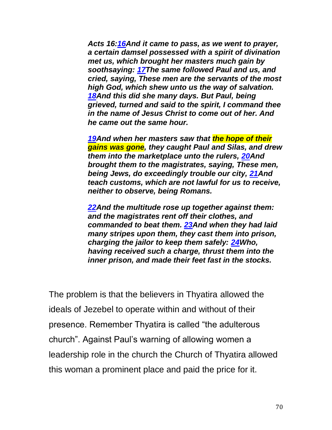*Acts 16[:16A](http://biblehub.com/acts/16-16.htm)nd it came to pass, as we went to prayer, a certain damsel possessed with a spirit of divination met us, which brought her masters much gain by soothsaying: [17T](http://biblehub.com/acts/16-17.htm)he same followed Paul and us, and cried, saying, These men are the servants of the most high God, which shew unto us the way of salvation. [18A](http://biblehub.com/acts/16-18.htm)nd this did she many days. But Paul, being grieved, turned and said to the spirit, I command thee in the name of Jesus Christ to come out of her. And he came out the same hour.*

*[19A](http://biblehub.com/acts/16-19.htm)nd when her masters saw that the hope of their gains was gone, they caught Paul and Silas, and drew them into the marketplace unto the rulers, [20A](http://biblehub.com/acts/16-20.htm)nd brought them to the magistrates, saying, These men, being Jews, do exceedingly trouble our city, [21A](http://biblehub.com/acts/16-21.htm)nd teach customs, which are not lawful for us to receive, neither to observe, being Romans.*

*[22A](http://biblehub.com/acts/16-22.htm)nd the multitude rose up together against them: and the magistrates rent off their clothes, and commanded to beat them. [23A](http://biblehub.com/acts/16-23.htm)nd when they had laid many stripes upon them, they cast them into prison, charging the jailor to keep them safely: [24W](http://biblehub.com/acts/16-24.htm)ho, having received such a charge, thrust them into the inner prison, and made their feet fast in the stocks.*

The problem is that the believers in Thyatira allowed the ideals of Jezebel to operate within and without of their presence. Remember Thyatira is called "the adulterous church". Against Paul's warning of allowing women a leadership role in the church the Church of Thyatira allowed this woman a prominent place and paid the price for it.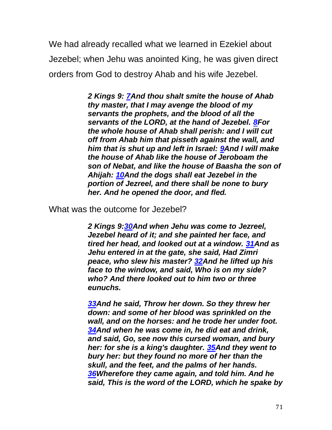We had already recalled what we learned in Ezekiel about Jezebel; when Jehu was anointed King, he was given direct orders from God to destroy Ahab and his wife Jezebel.

> *2 Kings 9: [7A](http://biblehub.com/2_kings/9-7.htm)nd thou shalt smite the house of Ahab thy master, that I may avenge the blood of my servants the prophets, and the blood of all the servants of the LORD, at the hand of Jezebel. [8F](http://biblehub.com/2_kings/9-8.htm)or the whole house of Ahab shall perish: and I will cut off from Ahab him that pisseth against the wall, and him that is shut up and left in Israel: [9A](http://biblehub.com/2_kings/9-9.htm)nd I will make the house of Ahab like the house of Jeroboam the son of Nebat, and like the house of Baasha the son of Ahijah: [10A](http://biblehub.com/2_kings/9-10.htm)nd the dogs shall eat Jezebel in the portion of Jezreel, and there shall be none to bury her. And he opened the door, and fled.*

What was the outcome for Jezebel?

*2 Kings 9[:30A](http://biblehub.com/2_kings/9-30.htm)nd when Jehu was come to Jezreel, Jezebel heard of it; and she painted her face, and tired her head, and looked out at a window. [31A](http://biblehub.com/2_kings/9-31.htm)nd as Jehu entered in at the gate, she said, Had Zimri peace, who slew his master? [32A](http://biblehub.com/2_kings/9-32.htm)nd he lifted up his face to the window, and said, Who is on my side? who? And there looked out to him two or three eunuchs.*

*[33A](http://biblehub.com/2_kings/9-33.htm)nd he said, Throw her down. So they threw her down: and some of her blood was sprinkled on the wall, and on the horses: and he trode her under foot. [34A](http://biblehub.com/2_kings/9-34.htm)nd when he was come in, he did eat and drink, and said, Go, see now this cursed woman, and bury her: for she is a king's daughter. [35A](http://biblehub.com/2_kings/9-35.htm)nd they went to bury her: but they found no more of her than the skull, and the feet, and the palms of her hands. [36W](http://biblehub.com/2_kings/9-36.htm)herefore they came again, and told him. And he said, This is the word of the LORD, which he spake by*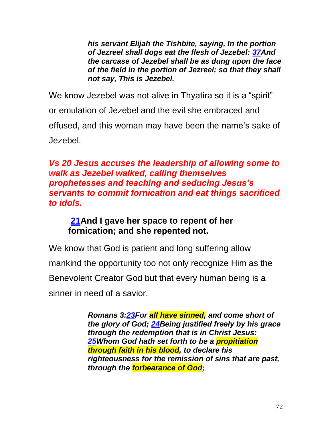*his servant Elijah the Tishbite, saying, In the portion of Jezreel shall dogs eat the flesh of Jezebel: [37A](http://biblehub.com/2_kings/9-37.htm)nd the carcase of Jezebel shall be as dung upon the face of the field in the portion of Jezreel; so that they shall not say, This is Jezebel.*

We know Jezebel was not alive in Thyatira so it is a "spirit" or emulation of Jezebel and the evil she embraced and effused, and this woman may have been the name's sake of Jezebel.

### *Vs 20 Jesus accuses the leadership of allowing some to walk as Jezebel walked, calling themselves prophetesses and teaching and seducing Jesus's servants to commit fornication and eat things sacrificed to idols.*

### **[21A](http://biblehub.com/revelation/2-21.htm)nd I gave her space to repent of her fornication; and she repented not.**

We know that God is patient and long suffering allow mankind the opportunity too not only recognize Him as the Benevolent Creator God but that every human being is a sinner in need of a savior.

> *Romans 3[:23F](http://biblehub.com/romans/3-23.htm)or all have sinned, and come short of the glory of God; [24B](http://biblehub.com/romans/3-24.htm)eing justified freely by his grace through the redemption that is in Christ Jesus: [25W](http://biblehub.com/romans/3-25.htm)hom God hath set forth to be a propitiation through faith in his blood, to declare his righteousness for the remission of sins that are past, through the forbearance of God;*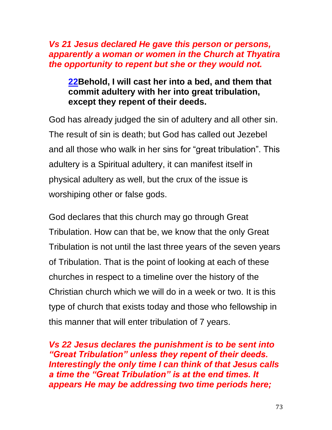#### *Vs 21 Jesus declared He gave this person or persons, apparently a woman or women in the Church at Thyatira the opportunity to repent but she or they would not.*

## **[22B](http://biblehub.com/revelation/2-22.htm)ehold, I will cast her into a bed, and them that commit adultery with her into great tribulation, except they repent of their deeds.**

God has already judged the sin of adultery and all other sin. The result of sin is death; but God has called out Jezebel and all those who walk in her sins for "great tribulation". This adultery is a Spiritual adultery, it can manifest itself in physical adultery as well, but the crux of the issue is worshiping other or false gods.

God declares that this church may go through Great Tribulation. How can that be, we know that the only Great Tribulation is not until the last three years of the seven years of Tribulation. That is the point of looking at each of these churches in respect to a timeline over the history of the Christian church which we will do in a week or two. It is this type of church that exists today and those who fellowship in this manner that will enter tribulation of 7 years.

*Vs 22 Jesus declares the punishment is to be sent into "Great Tribulation" unless they repent of their deeds. Interestingly the only time I can think of that Jesus calls a time the "Great Tribulation" is at the end times. It appears He may be addressing two time periods here;*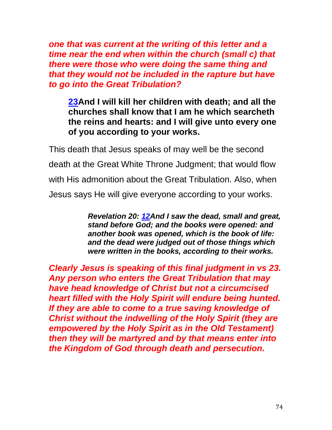*one that was current at the writing of this letter and a time near the end when within the church (small c) that there were those who were doing the same thing and that they would not be included in the rapture but have to go into the Great Tribulation?*

**[23A](http://biblehub.com/revelation/2-23.htm)nd I will kill her children with death; and all the churches shall know that I am he which searcheth the reins and hearts: and I will give unto every one of you according to your works.**

This death that Jesus speaks of may well be the second death at the Great White Throne Judgment; that would flow with His admonition about the Great Tribulation. Also, when Jesus says He will give everyone according to your works.

> *Revelation 20: [12A](http://biblehub.com/revelation/20-12.htm)nd I saw the dead, small and great, stand before God; and the books were opened: and another book was opened, which is the book of life: and the dead were judged out of those things which were written in the books, according to their works.*

*Clearly Jesus is speaking of this final judgment in vs 23. Any person who enters the Great Tribulation that may have head knowledge of Christ but not a circumcised heart filled with the Holy Spirit will endure being hunted. If they are able to come to a true saving knowledge of Christ without the indwelling of the Holy Spirit (they are empowered by the Holy Spirit as in the Old Testament) then they will be martyred and by that means enter into the Kingdom of God through death and persecution.*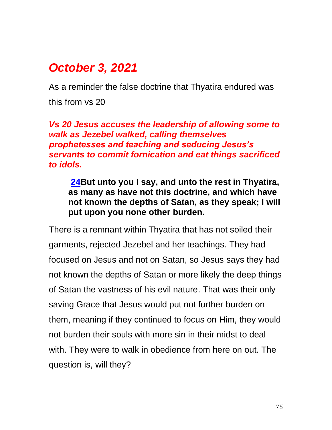# *October 3, 2021*

As a reminder the false doctrine that Thyatira endured was this from vs 20

*Vs 20 Jesus accuses the leadership of allowing some to walk as Jezebel walked, calling themselves prophetesses and teaching and seducing Jesus's servants to commit fornication and eat things sacrificed to idols.* 

**[24B](http://biblehub.com/revelation/2-24.htm)ut unto you I say, and unto the rest in Thyatira, as many as have not this doctrine, and which have not known the depths of Satan, as they speak; I will put upon you none other burden.**

There is a remnant within Thyatira that has not soiled their garments, rejected Jezebel and her teachings. They had focused on Jesus and not on Satan, so Jesus says they had not known the depths of Satan or more likely the deep things of Satan the vastness of his evil nature. That was their only saving Grace that Jesus would put not further burden on them, meaning if they continued to focus on Him, they would not burden their souls with more sin in their midst to deal with. They were to walk in obedience from here on out. The question is, will they?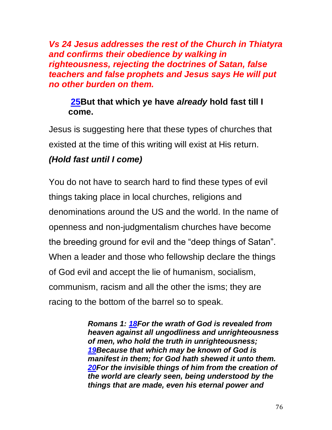*Vs 24 Jesus addresses the rest of the Church in Thiatyra and confirms their obedience by walking in righteousness, rejecting the doctrines of Satan, false teachers and false prophets and Jesus says He will put no other burden on them.*

### **[25B](http://biblehub.com/revelation/2-25.htm)ut that which ye have** *already* **hold fast till I come.**

Jesus is suggesting here that these types of churches that existed at the time of this writing will exist at His return.

# *(Hold fast until I come)*

You do not have to search hard to find these types of evil things taking place in local churches, religions and denominations around the US and the world. In the name of openness and non-judgmentalism churches have become the breeding ground for evil and the "deep things of Satan". When a leader and those who fellowship declare the things of God evil and accept the lie of humanism, socialism, communism, racism and all the other the isms; they are racing to the bottom of the barrel so to speak.

> *Romans 1: [18F](https://biblehub.com/romans/1-18.htm)or the wrath of God is revealed from heaven against all ungodliness and unrighteousness of men, who hold the truth in unrighteousness; [19B](https://biblehub.com/romans/1-19.htm)ecause that which may be known of God is manifest in them; for God hath shewed it unto them. [20F](https://biblehub.com/romans/1-20.htm)or the invisible things of him from the creation of the world are clearly seen, being understood by the things that are made, even his eternal power and*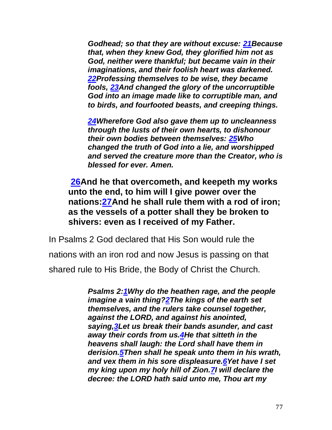*Godhead; so that they are without excuse: [21B](https://biblehub.com/romans/1-21.htm)ecause that, when they knew God, they glorified him not as God, neither were thankful; but became vain in their imaginations, and their foolish heart was darkened. [22P](https://biblehub.com/romans/1-22.htm)rofessing themselves to be wise, they became fools, [23A](https://biblehub.com/romans/1-23.htm)nd changed the glory of the uncorruptible God into an image made like to corruptible man, and to birds, and fourfooted beasts, and creeping things.*

*[24W](https://biblehub.com/romans/1-24.htm)herefore God also gave them up to uncleanness through the lusts of their own hearts, to dishonour their own bodies between themselves: [25W](https://biblehub.com/romans/1-25.htm)ho changed the truth of God into a lie, and worshipped and served the creature more than the Creator, who is blessed for ever. Amen.*

**[26A](http://biblehub.com/revelation/2-26.htm)nd he that overcometh, and keepeth my works unto the end, to him will I give power over the nations[:27A](http://biblehub.com/revelation/2-27.htm)nd he shall rule them with a rod of iron; as the vessels of a potter shall they be broken to shivers: even as I received of my Father.**

In Psalms 2 God declared that His Son would rule the nations with an iron rod and now Jesus is passing on that shared rule to His Bride, the Body of Christ the Church.

> *Psalms 2[:1W](https://biblehub.com/psalms/2-1.htm)hy do the heathen rage, and the people imagine a vain thing[?2T](https://biblehub.com/psalms/2-2.htm)he kings of the earth set themselves, and the rulers take counsel together, against the LORD, and against his anointed, saying[,3L](https://biblehub.com/psalms/2-3.htm)et us break their bands asunder, and cast away their cords from us[.4H](https://biblehub.com/psalms/2-4.htm)e that sitteth in the heavens shall laugh: the Lord shall have them in derision[.5T](https://biblehub.com/psalms/2-5.htm)hen shall he speak unto them in his wrath, and vex them in his sore displeasure[.6Y](https://biblehub.com/psalms/2-6.htm)et have I set my king upon my holy hill of Zion[.7I](https://biblehub.com/psalms/2-7.htm) will declare the decree: the LORD hath said unto me, Thou art my*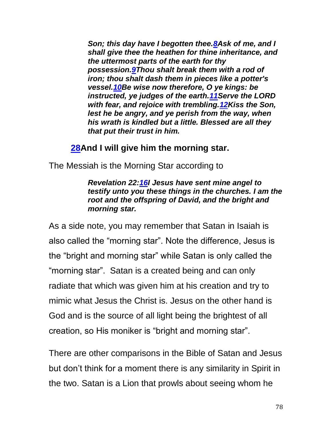*Son; this day have I begotten thee[.8A](https://biblehub.com/psalms/2-8.htm)sk of me, and I shall give thee the heathen for thine inheritance, and the uttermost parts of the earth for thy possession[.9T](https://biblehub.com/psalms/2-9.htm)hou shalt break them with a rod of iron; thou shalt dash them in pieces like a potter's vessel[.10B](https://biblehub.com/psalms/2-10.htm)e wise now therefore, O ye kings: be instructed, ye judges of the earth[.11S](https://biblehub.com/psalms/2-11.htm)erve the LORD with fear, and rejoice with trembling[.12K](https://biblehub.com/psalms/2-12.htm)iss the Son, lest he be angry, and ye perish from the way, when his wrath is kindled but a little. Blessed are all they that put their trust in him.*

#### **[28A](http://biblehub.com/revelation/2-28.htm)nd I will give him the morning star.**

The Messiah is the Morning Star according to

*Revelation 22[:16I](https://biblehub.com/revelation/22-16.htm) Jesus have sent mine angel to testify unto you these things in the churches. I am the root and the offspring of David, and the bright and morning star.*

As a side note, you may remember that Satan in Isaiah is also called the "morning star". Note the difference, Jesus is the "bright and morning star" while Satan is only called the "morning star". Satan is a created being and can only radiate that which was given him at his creation and try to mimic what Jesus the Christ is. Jesus on the other hand is God and is the source of all light being the brightest of all creation, so His moniker is "bright and morning star".

There are other comparisons in the Bible of Satan and Jesus but don't think for a moment there is any similarity in Spirit in the two. Satan is a Lion that prowls about seeing whom he